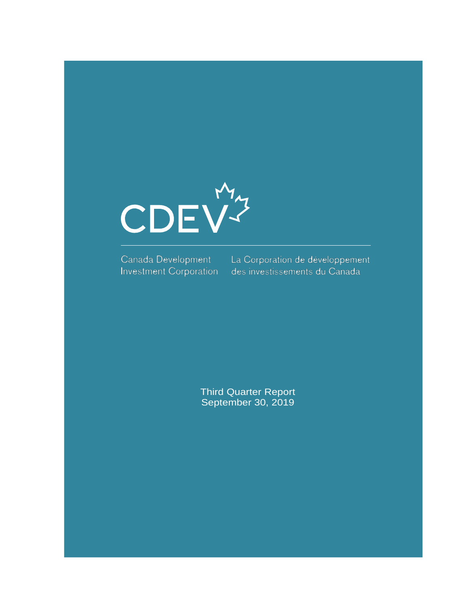

**Investment Corporation** 

Canada Development La Corporation de développement des investissements du Canada

> Third Quarter Report September 30, 2019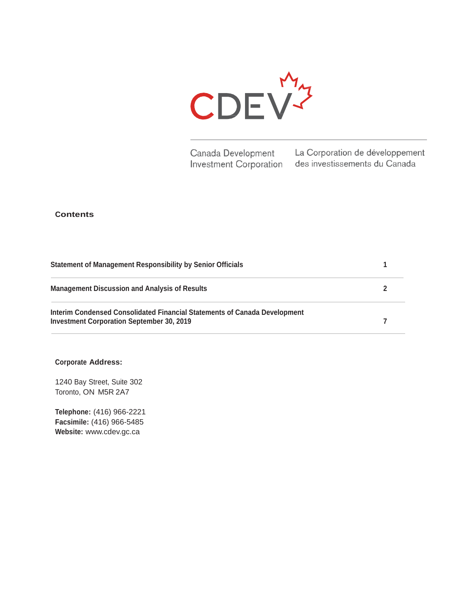

Canada Development La Corporation de développement **Investment Corporation** des investissements du Canada

#### **Contents**

| Statement of Management Responsibility by Senior Officials                                                                    |  |  |
|-------------------------------------------------------------------------------------------------------------------------------|--|--|
| <b>Management Discussion and Analysis of Results</b>                                                                          |  |  |
| Interim Condensed Consolidated Financial Statements of Canada Development<br><b>Investment Corporation September 30, 2019</b> |  |  |

### **Corporate Address:**

1240 Bay Street, Suite 302 Toronto, ON M5R 2A7

**Telephone:** (416) 966-2221 **Facsimile:** (416) 966-5485 **Website:** [www.cdev.gc.ca](http://www.cdev.gc.ca/)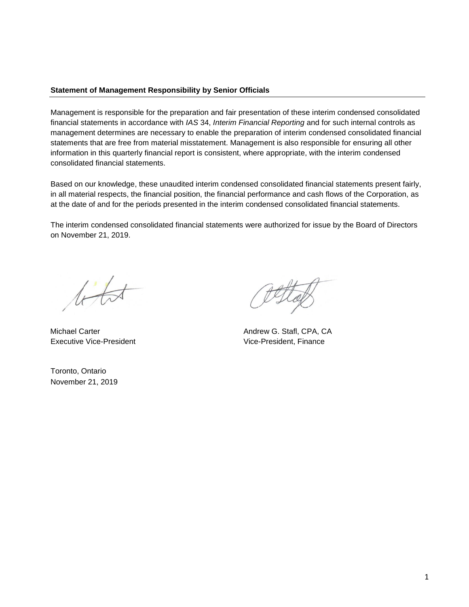### **Statement of Management Responsibility by Senior Officials**

Management is responsible for the preparation and fair presentation of these interim condensed consolidated financial statements in accordance with *IAS* 34, *Interim Financial Reporting* and for such internal controls as management determines are necessary to enable the preparation of interim condensed consolidated financial statements that are free from material misstatement. Management is also responsible for ensuring all other information in this quarterly financial report is consistent, where appropriate, with the interim condensed consolidated financial statements.

Based on our knowledge, these unaudited interim condensed consolidated financial statements present fairly, in all material respects, the financial position, the financial performance and cash flows of the Corporation, as at the date of and for the periods presented in the interim condensed consolidated financial statements.

The interim condensed consolidated financial statements were authorized for issue by the Board of Directors on November 21, 2019.

 $t\overline{t}$ 

Executive Vice-President **Executive Vice-President**, Finance

Toronto, Ontario November 21, 2019

Michael Carter **Andrew G. Stafl, CPA, CA**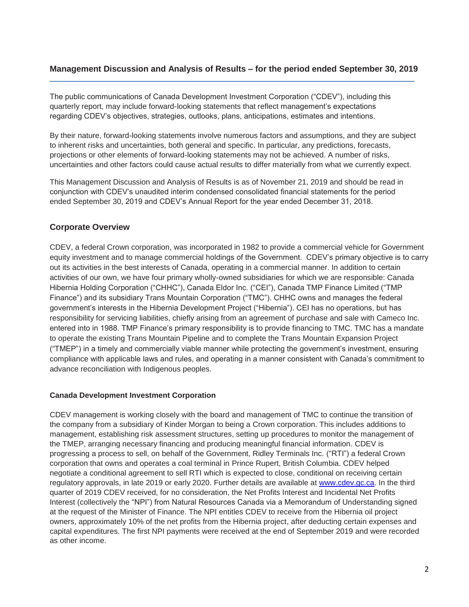## **Management Discussion and Analysis of Results – for the period ended September 30, 2019**

The public communications of Canada Development Investment Corporation ("CDEV"), including this quarterly report, may include forward-looking statements that reflect management's expectations regarding CDEV's objectives, strategies, outlooks, plans, anticipations, estimates and intentions.

By their nature, forward-looking statements involve numerous factors and assumptions, and they are subject to inherent risks and uncertainties, both general and specific. In particular, any predictions, forecasts, projections or other elements of forward-looking statements may not be achieved. A number of risks, uncertainties and other factors could cause actual results to differ materially from what we currently expect.

This Management Discussion and Analysis of Results is as of November 21, 2019 and should be read in conjunction with CDEV's unaudited interim condensed consolidated financial statements for the period ended September 30, 2019 and CDEV's Annual Report for the year ended December 31, 2018.

## **Corporate Overview**

CDEV, a federal Crown corporation, was incorporated in 1982 to provide a commercial vehicle for Government equity investment and to manage commercial holdings of the Government. CDEV's primary objective is to carry out its activities in the best interests of Canada, operating in a commercial manner. In addition to certain activities of our own, we have four primary wholly-owned subsidiaries for which we are responsible: Canada Hibernia Holding Corporation ("CHHC"), Canada Eldor Inc. ("CEI"), Canada TMP Finance Limited ("TMP Finance") and its subsidiary Trans Mountain Corporation ("TMC"). CHHC owns and manages the federal government's interests in the Hibernia Development Project ("Hibernia"). CEI has no operations, but has responsibility for servicing liabilities, chiefly arising from an agreement of purchase and sale with Cameco Inc. entered into in 1988. TMP Finance's primary responsibility is to provide financing to TMC. TMC has a mandate to operate the existing Trans Mountain Pipeline and to complete the Trans Mountain Expansion Project ("TMEP") in a timely and commercially viable manner while protecting the government's investment, ensuring compliance with applicable laws and rules, and operating in a manner consistent with Canada's commitment to advance reconciliation with Indigenous peoples.

### **Canada Development Investment Corporation**

CDEV management is working closely with the board and management of TMC to continue the transition of the company from a subsidiary of Kinder Morgan to being a Crown corporation. This includes additions to management, establishing risk assessment structures, setting up procedures to monitor the management of the TMEP, arranging necessary financing and producing meaningful financial information. CDEV is progressing a process to sell, on behalf of the Government, Ridley Terminals Inc. ("RTI") a federal Crown corporation that owns and operates a coal terminal in Prince Rupert, British Columbia. CDEV helped negotiate a conditional agreement to sell RTI which is expected to close, conditional on receiving certain regulatory approvals, in late 2019 or early 2020. Further details are available at [www.cdev.gc.ca.](http://www.cdev.gc.ca/) In the third quarter of 2019 CDEV received, for no consideration, the Net Profits Interest and Incidental Net Profits Interest (collectively the "NPI") from Natural Resources Canada via a Memorandum of Understanding signed at the request of the Minister of Finance. The NPI entitles CDEV to receive from the Hibernia oil project owners, approximately 10% of the net profits from the Hibernia project, after deducting certain expenses and capital expenditures. The first NPI payments were received at the end of September 2019 and were recorded as other income.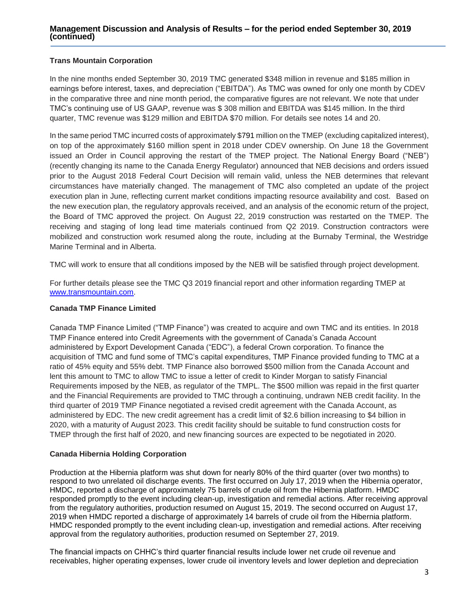### **Management Discussion and Analysis of Results – for the period ended September 30, 2019 (continued)**

### **Trans Mountain Corporation**

In the nine months ended September 30, 2019 TMC generated \$348 million in revenue and \$185 million in earnings before interest, taxes, and depreciation ("EBITDA"). As TMC was owned for only one month by CDEV in the comparative three and nine month period, the comparative figures are not relevant. We note that under TMC's continuing use of US GAAP, revenue was \$ 308 million and EBITDA was \$145 million. In the third quarter, TMC revenue was \$129 million and EBITDA \$70 million. For details see notes 14 and 20.

In the same period TMC incurred costs of approximately \$791 million on the TMEP (excluding capitalized interest), on top of the approximately \$160 million spent in 2018 under CDEV ownership. On June 18 the Government issued an Order in Council approving the restart of the TMEP project. The National Energy Board ("NEB") (recently changing its name to the Canada Energy Regulator) announced that NEB decisions and orders issued prior to the August 2018 Federal Court Decision will remain valid, unless the NEB determines that relevant circumstances have materially changed. The management of TMC also completed an update of the project execution plan in June, reflecting current market conditions impacting resource availability and cost. Based on the new execution plan, the regulatory approvals received, and an analysis of the economic return of the project, the Board of TMC approved the project. On August 22, 2019 construction was restarted on the TMEP. The receiving and staging of long lead time materials continued from Q2 2019. Construction contractors were mobilized and construction work resumed along the route, including at the Burnaby Terminal, the Westridge Marine Terminal and in Alberta.

TMC will work to ensure that all conditions imposed by the NEB will be satisfied through project development.

For further details please see the TMC Q3 2019 financial report and other information regarding TMEP at [www.transmountain.com.](http://www.transmountain.com/)

#### **Canada TMP Finance Limited**

Canada TMP Finance Limited ("TMP Finance") was created to acquire and own TMC and its entities. In 2018 TMP Finance entered into Credit Agreements with the government of Canada's Canada Account administered by Export Development Canada ("EDC"), a federal Crown corporation. To finance the acquisition of TMC and fund some of TMC's capital expenditures, TMP Finance provided funding to TMC at a ratio of 45% equity and 55% debt. TMP Finance also borrowed \$500 million from the Canada Account and lent this amount to TMC to allow TMC to issue a letter of credit to Kinder Morgan to satisfy Financial Requirements imposed by the NEB, as regulator of the TMPL. The \$500 million was repaid in the first quarter and the Financial Requirements are provided to TMC through a continuing, undrawn NEB credit facility. In the third quarter of 2019 TMP Finance negotiated a revised credit agreement with the Canada Account, as administered by EDC. The new credit agreement has a credit limit of \$2.6 billion increasing to \$4 billion in 2020, with a maturity of August 2023. This credit facility should be suitable to fund construction costs for TMEP through the first half of 2020, and new financing sources are expected to be negotiated in 2020.

#### **Canada Hibernia Holding Corporation**

Production at the Hibernia platform was shut down for nearly 80% of the third quarter (over two months) to respond to two unrelated oil discharge events. The first occurred on July 17, 2019 when the Hibernia operator, HMDC, reported a discharge of approximately 75 barrels of crude oil from the Hibernia platform. HMDC responded promptly to the event including clean-up, investigation and remedial actions. After receiving approval from the regulatory authorities, production resumed on August 15, 2019. The second occurred on August 17, 2019 when HMDC reported a discharge of approximately 14 barrels of crude oil from the Hibernia platform. HMDC responded promptly to the event including clean-up, investigation and remedial actions. After receiving approval from the regulatory authorities, production resumed on September 27, 2019.

The financial impacts on CHHC's third quarter financial results include lower net crude oil revenue and receivables, higher operating expenses, lower crude oil inventory levels and lower depletion and depreciation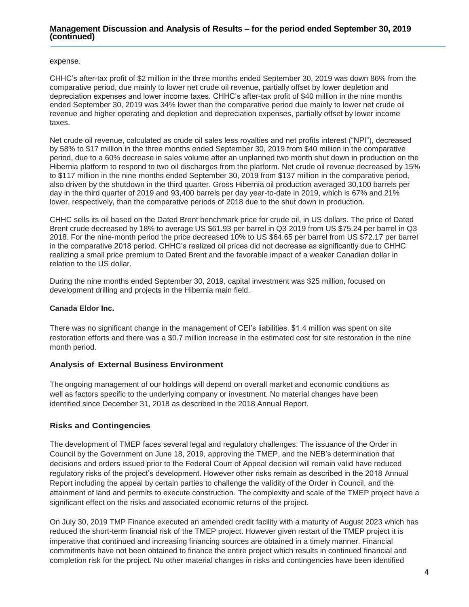#### **Management Discussion and Analysis of Results – for the period ended September 30, 2019 (continued)**

#### expense.

CHHC's after-tax profit of \$2 million in the three months ended September 30, 2019 was down 86% from the comparative period, due mainly to lower net crude oil revenue, partially offset by lower depletion and depreciation expenses and lower income taxes. CHHC's after-tax profit of \$40 million in the nine months ended September 30, 2019 was 34% lower than the comparative period due mainly to lower net crude oil revenue and higher operating and depletion and depreciation expenses, partially offset by lower income taxes.

Net crude oil revenue, calculated as crude oil sales less royalties and net profits interest ("NPI"), decreased by 58% to \$17 million in the three months ended September 30, 2019 from \$40 million in the comparative period, due to a 60% decrease in sales volume after an unplanned two month shut down in production on the Hibernia platform to respond to two oil discharges from the platform. Net crude oil revenue decreased by 15% to \$117 million in the nine months ended September 30, 2019 from \$137 million in the comparative period, also driven by the shutdown in the third quarter. Gross Hibernia oil production averaged 30,100 barrels per day in the third quarter of 2019 and 93,400 barrels per day year-to-date in 2019, which is 67% and 21% lower, respectively, than the comparative periods of 2018 due to the shut down in production.

CHHC sells its oil based on the Dated Brent benchmark price for crude oil, in US dollars. The price of Dated Brent crude decreased by 18% to average US \$61.93 per barrel in Q3 2019 from US \$75.24 per barrel in Q3 2018. For the nine-month period the price decreased 10% to US \$64.65 per barrel from US \$72.17 per barrel in the comparative 2018 period. CHHC's realized oil prices did not decrease as significantly due to CHHC realizing a small price premium to Dated Brent and the favorable impact of a weaker Canadian dollar in relation to the US dollar.

During the nine months ended September 30, 2019, capital investment was \$25 million, focused on development drilling and projects in the Hibernia main field.

### **Canada Eldor Inc.**

There was no significant change in the management of CEI's liabilities. \$1.4 million was spent on site restoration efforts and there was a \$0.7 million increase in the estimated cost for site restoration in the nine month period.

#### **Analysis of External Business Environment**

The ongoing management of our holdings will depend on overall market and economic conditions as well as factors specific to the underlying company or investment. No material changes have been identified since December 31, 2018 as described in the 2018 Annual Report.

#### **Risks and Contingencies**

The development of TMEP faces several legal and regulatory challenges. The issuance of the Order in Council by the Government on June 18, 2019, approving the TMEP, and the NEB's determination that decisions and orders issued prior to the Federal Court of Appeal decision will remain valid have reduced regulatory risks of the project's development. However other risks remain as described in the 2018 Annual Report including the appeal by certain parties to challenge the validity of the Order in Council, and the attainment of land and permits to execute construction. The complexity and scale of the TMEP project have a significant effect on the risks and associated economic returns of the project.

On July 30, 2019 TMP Finance executed an amended credit facility with a maturity of August 2023 which has reduced the short-term financial risk of the TMEP project. However given restart of the TMEP project it is imperative that continued and increasing financing sources are obtained in a timely manner. Financial commitments have not been obtained to finance the entire project which results in continued financial and completion risk for the project. No other material changes in risks and contingencies have been identified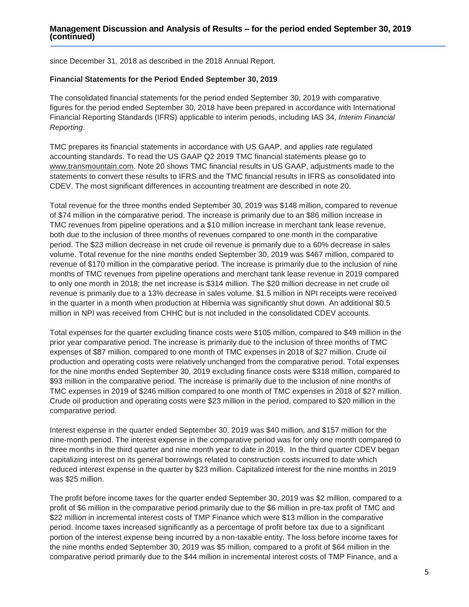since December 31, 2018 as described in the 2018 Annual Report.

#### **Financial Statements for the Period Ended September 30, 2019**

The consolidated financial statements for the period ended September 30, 2019 with comparative figures for the period ended September 30, 2018 have been prepared in accordance with International Financial Reporting Standards (IFRS) applicable to interim periods, including IAS 34, *Interim Financial Reporting*.

TMC prepares its financial statements in accordance with US GAAP, and applies rate regulated accounting standards. To read the US GAAP Q2 2019 TMC financial statements please go to www.transmountain.com. Note 20 shows TMC financial results in US GAAP, adjustments made to the statements to convert these results to IFRS and the TMC financial results in IFRS as consolidated into CDEV. The most significant differences in accounting treatment are described in note 20.

Total revenue for the three months ended September 30, 2019 was \$148 million, compared to revenue of \$74 million in the comparative period. The increase is primarily due to an \$86 million increase in TMC revenues from pipeline operations and a \$10 million increase in merchant tank lease revenue, both due to the inclusion of three months of revenues compared to one month in the comparative period. The \$23 million decrease in net crude oil revenue is primarily due to a 60% decrease in sales volume. Total revenue for the nine months ended September 30, 2019 was \$467 million, compared to revenue of \$170 million in the comparative period. The increase is primarily due to the inclusion of nine months of TMC revenues from pipeline operations and merchant tank lease revenue in 2019 compared to only one month in 2018; the net increase is \$314 million. The \$20 million decrease in net crude oil revenue is primarily due to a 13% decrease in sales volume. \$1.5 million in NPI receipts were received in the quarter in a month when production at Hibernia was significantly shut down. An additional \$0.5 million in NPI was received from CHHC but is not included in the consolidated CDEV accounts.

Total expenses for the quarter excluding finance costs were \$105 million, compared to \$49 million in the prior year comparative period. The increase is primarily due to the inclusion of three months of TMC expenses of \$87 million, compared to one month of TMC expenses in 2018 of \$27 million. Crude oil production and operating costs were relatively unchanged from the comparative period. Total expenses for the nine months ended September 30, 2019 excluding finance costs were \$318 million, compared to \$93 million in the comparative period. The increase is primarily due to the inclusion of nine months of TMC expenses in 2019 of \$246 million compared to one month of TMC expenses in 2018 of \$27 million. Crude oil production and operating costs were \$23 million in the period, compared to \$20 million in the comparative period.

Interest expense in the quarter ended September 30, 2019 was \$40 million, and \$157 million for the nine-month period. The interest expense in the comparative period was for only one month compared to three months in the third quarter and nine month year to date in 2019. In the third quarter CDEV began capitalizing interest on its general borrowings related to construction costs incurred to date which reduced interest expense in the quarter by \$23 million. Capitalized interest for the nine months in 2019 was \$25 million.

The profit before income taxes for the quarter ended September 30, 2019 was \$2 million, compared to a profit of \$6 million in the comparative period primarily due to the \$6 million in pre-tax profit of TMC and \$22 million in incremental interest costs of TMP Finance which were \$13 million in the comparative period. Income taxes increased significantly as a percentage of profit before tax due to a significant portion of the interest expense being incurred by a non-taxable entity. The loss before income taxes for the nine months ended September 30, 2019 was \$5 million, compared to a profit of \$64 million in the comparative period primarily due to the \$44 million in incremental interest costs of TMP Finance, and a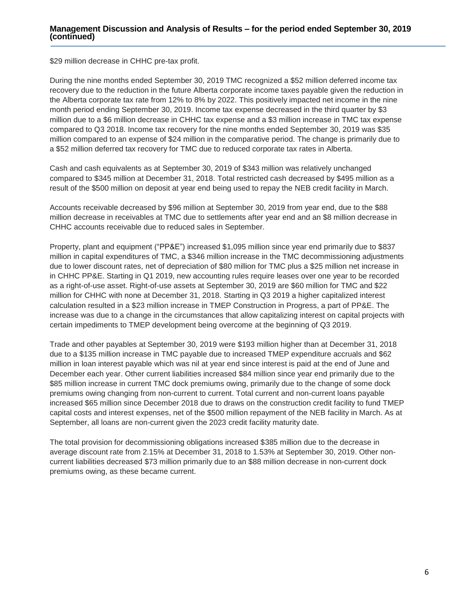\$29 million decrease in CHHC pre-tax profit.

During the nine months ended September 30, 2019 TMC recognized a \$52 million deferred income tax recovery due to the reduction in the future Alberta corporate income taxes payable given the reduction in the Alberta corporate tax rate from 12% to 8% by 2022. This positively impacted net income in the nine month period ending September 30, 2019. Income tax expense decreased in the third quarter by \$3 million due to a \$6 million decrease in CHHC tax expense and a \$3 million increase in TMC tax expense compared to Q3 2018. Income tax recovery for the nine months ended September 30, 2019 was \$35 million compared to an expense of \$24 million in the comparative period. The change is primarily due to a \$52 million deferred tax recovery for TMC due to reduced corporate tax rates in Alberta.

Cash and cash equivalents as at September 30, 2019 of \$343 million was relatively unchanged compared to \$345 million at December 31, 2018. Total restricted cash decreased by \$495 million as a result of the \$500 million on deposit at year end being used to repay the NEB credit facility in March.

Accounts receivable decreased by \$96 million at September 30, 2019 from year end, due to the \$88 million decrease in receivables at TMC due to settlements after year end and an \$8 million decrease in CHHC accounts receivable due to reduced sales in September.

Property, plant and equipment ("PP&E") increased \$1,095 million since year end primarily due to \$837 million in capital expenditures of TMC, a \$346 million increase in the TMC decommissioning adjustments due to lower discount rates, net of depreciation of \$80 million for TMC plus a \$25 million net increase in in CHHC PP&E. Starting in Q1 2019, new accounting rules require leases over one year to be recorded as a right-of-use asset. Right-of-use assets at September 30, 2019 are \$60 million for TMC and \$22 million for CHHC with none at December 31, 2018. Starting in Q3 2019 a higher capitalized interest calculation resulted in a \$23 million increase in TMEP Construction in Progress, a part of PP&E. The increase was due to a change in the circumstances that allow capitalizing interest on capital projects with certain impediments to TMEP development being overcome at the beginning of Q3 2019.

Trade and other payables at September 30, 2019 were \$193 million higher than at December 31, 2018 due to a \$135 million increase in TMC payable due to increased TMEP expenditure accruals and \$62 million in loan interest payable which was nil at year end since interest is paid at the end of June and December each year. Other current liabilities increased \$84 million since year end primarily due to the \$85 million increase in current TMC dock premiums owing, primarily due to the change of some dock premiums owing changing from non-current to current. Total current and non-current loans payable increased \$65 million since December 2018 due to draws on the construction credit facility to fund TMEP capital costs and interest expenses, net of the \$500 million repayment of the NEB facility in March. As at September, all loans are non-current given the 2023 credit facility maturity date.

The total provision for decommissioning obligations increased \$385 million due to the decrease in average discount rate from 2.15% at December 31, 2018 to 1.53% at September 30, 2019. Other noncurrent liabilities decreased \$73 million primarily due to an \$88 million decrease in non-current dock premiums owing, as these became current.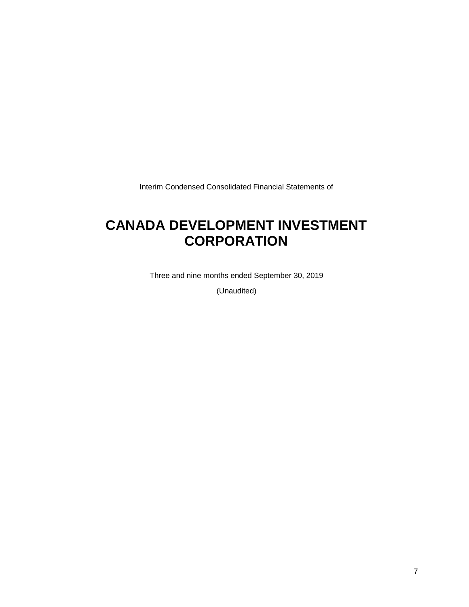Interim Condensed Consolidated Financial Statements of

## **CANADA DEVELOPMENT INVESTMENT CORPORATION**

Three and nine months ended September 30, 2019

(Unaudited)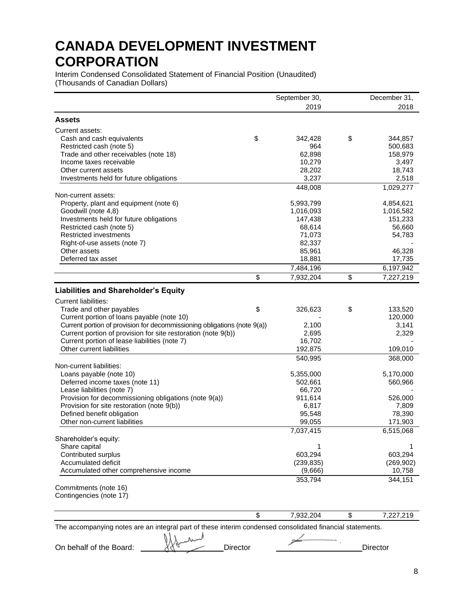Interim Condensed Consolidated Statement of Financial Position (Unaudited) (Thousands of Canadian Dollars)

|                                                                                                           | September 30,   | December 31,    |
|-----------------------------------------------------------------------------------------------------------|-----------------|-----------------|
|                                                                                                           | 2019            | 2018            |
| Assets                                                                                                    |                 |                 |
| Current assets:                                                                                           |                 |                 |
| Cash and cash equivalents                                                                                 | \$<br>342,428   | \$<br>344,857   |
| Restricted cash (note 5)                                                                                  | 964             | 500,683         |
| Trade and other receivables (note 18)                                                                     | 62,898          | 158,979         |
| Income taxes receivable                                                                                   | 10,279          | 3,497           |
| Other current assets                                                                                      | 28,202          | 18,743          |
| Investments held for future obligations                                                                   | 3,237           | 2,518           |
| Non-current assets:                                                                                       | 448,008         | 1,029,277       |
| Property, plant and equipment (note 6)                                                                    | 5,993,799       | 4,854,621       |
| Goodwill (note 4,8)                                                                                       | 1,016,093       | 1,016,582       |
| Investments held for future obligations                                                                   | 147,438         | 151,233         |
| Restricted cash (note 5)                                                                                  | 68,614          | 56,660          |
| <b>Restricted investments</b>                                                                             | 71,073          | 54,783          |
| Right-of-use assets (note 7)                                                                              | 82,337          |                 |
| Other assets                                                                                              | 85,961          | 46,328          |
| Deferred tax asset                                                                                        | 18,881          | 17,735          |
|                                                                                                           | 7,484,196       | 6,197,942       |
|                                                                                                           | \$<br>7,932,204 | \$<br>7,227,219 |
| <b>Liabilities and Shareholder's Equity</b>                                                               |                 |                 |
| Current liabilities:                                                                                      |                 |                 |
| Trade and other payables                                                                                  | \$<br>326,623   | \$<br>133,520   |
| Current portion of loans payable (note 10)                                                                |                 | 120,000         |
| Current portion of provision for decommissioning obligations (note 9(a))                                  | 2,100           | 3,141           |
| Current portion of provision for site restoration (note 9(b))                                             | 2,695           | 2,329           |
| Current portion of lease liabilities (note 7)                                                             | 16,702          |                 |
| Other current liabilities                                                                                 | 192,875         | 109,010         |
|                                                                                                           | 540,995         | 368,000         |
| Non-current liabilities:                                                                                  |                 |                 |
| Loans payable (note 10)                                                                                   | 5,355,000       | 5,170,000       |
| Deferred income taxes (note 11)                                                                           | 502,661         | 560,966         |
| Lease liabilities (note 7)                                                                                | 66,720          |                 |
| Provision for decommissioning obligations (note 9(a))                                                     | 911,614         | 526,000         |
| Provision for site restoration (note 9(b))                                                                | 6,817           | 7,809           |
| Defined benefit obligation<br>Other non-current liabilities                                               | 95,548          | 78,390          |
|                                                                                                           | 99,055          | 171,903         |
| Shareholder's equity:                                                                                     | 7,037,415       | 6,515,068       |
| Share capital                                                                                             | 1               |                 |
| Contributed surplus                                                                                       | 603,294         | 603,294         |
| Accumulated deficit                                                                                       | (239, 835)      | (269, 902)      |
| Accumulated other comprehensive income                                                                    | (9,666)         | 10,758          |
|                                                                                                           | 353,794         | 344,151         |
| Commitments (note 16)                                                                                     |                 |                 |
| Contingencies (note 17)                                                                                   |                 |                 |
|                                                                                                           |                 |                 |
|                                                                                                           | \$<br>7,932,204 | \$<br>7,227,219 |
| The accompanying notes are an integral part of these interim condensed consolidated financial statements. |                 |                 |

On behalf of the Board: We half and Director Director Director

 $\rightarrow$ .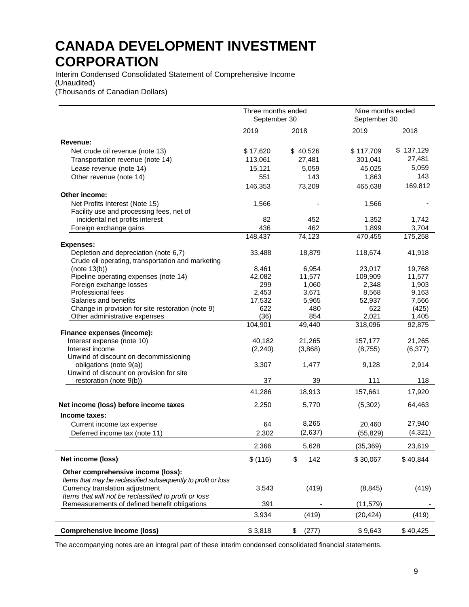Interim Condensed Consolidated Statement of Comprehensive Income (Unaudited) (Thousands of Canadian Dollars)

|                                                                            | Three months ended<br>September 30 |              | Nine months ended<br>September 30 |                |
|----------------------------------------------------------------------------|------------------------------------|--------------|-----------------------------------|----------------|
|                                                                            | 2019                               | 2018         | 2019                              | 2018           |
| Revenue:                                                                   |                                    |              |                                   |                |
| Net crude oil revenue (note 13)                                            | \$17,620                           | \$40,526     | \$117,709                         | \$137,129      |
| Transportation revenue (note 14)                                           | 113,061                            | 27,481       | 301,041                           | 27,481         |
| Lease revenue (note 14)                                                    | 15,121                             | 5,059        | 45,025                            | 5,059          |
| Other revenue (note 14)                                                    | 551                                | 143          | 1,863                             | 143            |
|                                                                            | 146,353                            | 73,209       | 465,638                           | 169,812        |
| Other income:                                                              |                                    |              |                                   |                |
| Net Profits Interest (Note 15)                                             | 1,566                              |              | 1,566                             |                |
| Facility use and processing fees, net of                                   |                                    |              |                                   |                |
| incidental net profits interest                                            | 82                                 | 452          | 1,352                             | 1,742          |
| Foreign exchange gains                                                     | 436                                | 462          | 1,899                             | 3,704          |
|                                                                            | 148,437                            | 74,123       | 470,455                           | 175,258        |
| <b>Expenses:</b>                                                           |                                    |              |                                   |                |
| Depletion and depreciation (note 6,7)                                      | 33,488                             | 18,879       | 118,674                           | 41,918         |
| Crude oil operating, transportation and marketing                          |                                    |              |                                   |                |
| (note 13(b))                                                               | 8,461                              | 6,954        | 23,017                            | 19,768         |
| Pipeline operating expenses (note 14)                                      | 42,082                             | 11,577       | 109,909                           | 11,577         |
| Foreign exchange losses                                                    | 299                                | 1,060        | 2,348                             | 1,903          |
| Professional fees                                                          | 2,453                              | 3,671        | 8,568                             | 9,163          |
| Salaries and benefits<br>Change in provision for site restoration (note 9) | 17,532<br>622                      | 5,965<br>480 | 52,937<br>622                     | 7,566<br>(425) |
| Other administrative expenses                                              | (36)                               | 854          | 2,021                             | 1,405          |
|                                                                            | 104,901                            | 49,440       | 318,096                           | 92,875         |
| Finance expenses (income):                                                 |                                    |              |                                   |                |
| Interest expense (note 10)                                                 | 40,182                             | 21,265       | 157,177                           | 21,265         |
| Interest income                                                            | (2, 240)                           | (3,868)      | (8,755)                           | (6, 377)       |
| Unwind of discount on decommissioning                                      |                                    |              |                                   |                |
| obligations (note 9(a))                                                    | 3,307                              | 1,477        | 9,128                             | 2,914          |
| Unwind of discount on provision for site                                   |                                    |              |                                   |                |
| restoration (note 9(b))                                                    | 37                                 | 39           | 111                               | 118            |
|                                                                            | 41,286                             | 18,913       | 157,661                           | 17,920         |
| Net income (loss) before income taxes                                      | 2,250                              | 5,770        | (5,302)                           | 64,463         |
| Income taxes:                                                              |                                    |              |                                   |                |
| Current income tax expense                                                 | 64                                 | 8,265        | 20.460                            | 27,940         |
| Deferred income tax (note 11)                                              | 2,302                              | (2,637)      | (55, 829)                         | (4, 321)       |
|                                                                            | 2,366                              | 5,628        | (35, 369)                         | 23,619         |
| Net income (loss)                                                          | \$(116)                            | \$<br>142    | \$30,067                          | \$40,844       |
|                                                                            |                                    |              |                                   |                |
| Other comprehensive income (loss):                                         |                                    |              |                                   |                |
| Items that may be reclassified subsequently to profit or loss              |                                    |              |                                   |                |
| Currency translation adjustment                                            | 3,543                              | (419)        | (8, 845)                          | (419)          |
| Items that will not be reclassified to profit or loss                      |                                    |              |                                   |                |
| Remeasurements of defined benefit obligations                              | 391                                |              | (11, 579)                         |                |
|                                                                            | 3,934                              | (419)        | (20, 424)                         | (419)          |
| <b>Comprehensive income (loss)</b>                                         | \$3,818                            | (277)<br>\$  | \$9,643                           | \$40,425       |

The accompanying notes are an integral part of these interim condensed consolidated financial statements.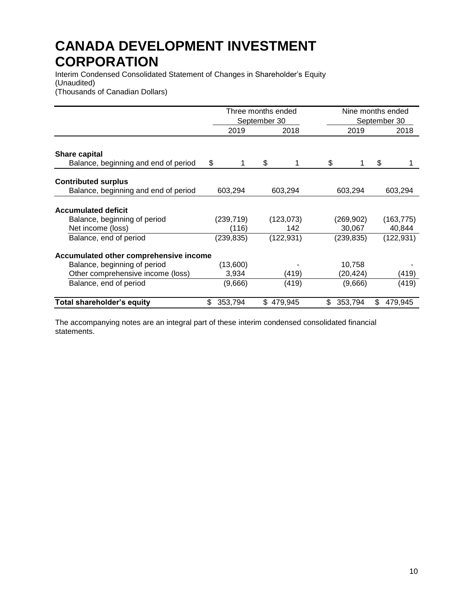Interim Condensed Consolidated Statement of Changes in Shareholder's Equity (Unaudited) (Thousands of Canadian Dollars)

|                                                                                 | Three months ended<br>September 30 | Nine months ended |                  | September 30        |    |                      |
|---------------------------------------------------------------------------------|------------------------------------|-------------------|------------------|---------------------|----|----------------------|
|                                                                                 |                                    | 2019<br>2018      |                  | 2019                |    | 2018                 |
| <b>Share capital</b><br>Balance, beginning and end of period                    | \$                                 | \$                | 1                | \$                  | \$ |                      |
| <b>Contributed surplus</b><br>Balance, beginning and end of period              | 603,294                            |                   | 603,294          | 603,294             |    | 603,294              |
| <b>Accumulated deficit</b><br>Balance, beginning of period<br>Net income (loss) | (239, 719)<br>(116)                |                   | (123,073)<br>142 | (269,902)<br>30,067 |    | (163, 775)<br>40,844 |
| Balance, end of period<br>Accumulated other comprehensive income                | (239, 835)                         |                   | (122, 931)       | (239, 835)          |    | (122, 931)           |
| Balance, beginning of period                                                    | (13,600)                           |                   |                  | 10,758              |    |                      |
| Other comprehensive income (loss)                                               | 3,934                              |                   | (419)            | (20,424)            |    | (419)                |
| Balance, end of period                                                          | (9,666)                            |                   | (419)            | (9,666)             |    | (419)                |
| <b>Total shareholder's equity</b>                                               | 353,794<br>\$.                     | \$                | 479.945          | \$<br>353,794       | \$ | 479,945              |

The accompanying notes are an integral part of these interim condensed consolidated financial statements.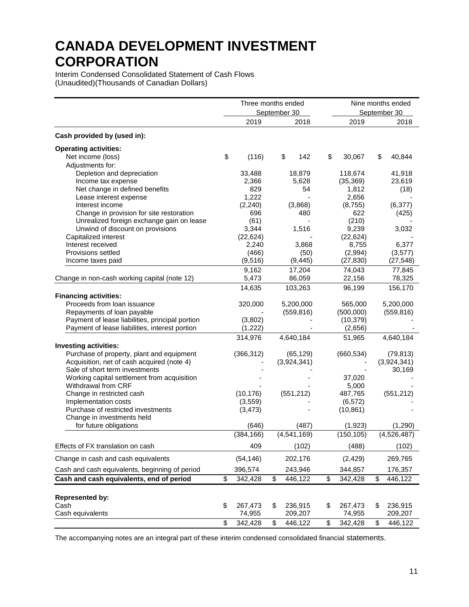Interim Condensed Consolidated Statement of Cash Flows (Unaudited)(Thousands of Canadian Dollars)

|                                                 | Three months ended |            |    | Nine months ended |               |    |              |
|-------------------------------------------------|--------------------|------------|----|-------------------|---------------|----|--------------|
|                                                 |                    |            |    | September 30      |               |    | September 30 |
|                                                 |                    | 2019       |    | 2018              | 2019          |    | 2018         |
| Cash provided by (used in):                     |                    |            |    |                   |               |    |              |
| <b>Operating activities:</b>                    |                    |            |    |                   |               |    |              |
| Net income (loss)                               | \$                 | (116)      |    | \$<br>142         | \$<br>30,067  | \$ | 40,844       |
| Adjustments for:                                |                    |            |    |                   |               |    |              |
| Depletion and depreciation                      |                    | 33,488     |    | 18,879            | 118,674       |    | 41,918       |
| Income tax expense                              |                    | 2,366      |    | 5,628             | (35, 369)     |    | 23,619       |
| Net change in defined benefits                  |                    | 829        |    | 54                | 1,812         |    | (18)         |
| Lease interest expense                          |                    | 1,222      |    |                   | 2,656         |    |              |
| Interest income                                 |                    | (2, 240)   |    | (3,868)           | (8, 755)      |    | (6, 377)     |
| Change in provision for site restoration        |                    | 696        |    | 480               | 622           |    | (425)        |
| Unrealized foreign exchange gain on lease       |                    | (61)       |    |                   | (210)         |    |              |
| Unwind of discount on provisions                |                    | 3,344      |    | 1,516             | 9,239         |    | 3,032        |
| Capitalized interest                            |                    | (22, 624)  |    |                   | (22, 624)     |    |              |
| Interest received                               |                    | 2,240      |    | 3,868             | 8,755         |    | 6,377        |
| Provisions settled                              |                    | (466)      |    | (50)              | (2,994)       |    | (3, 577)     |
| Income taxes paid                               |                    | (9, 516)   |    | (9, 445)          | (27, 830)     |    | (27, 548)    |
|                                                 |                    | 9,162      |    | 17,204            | 74,043        |    | 77,845       |
| Change in non-cash working capital (note 12)    |                    | 5,473      |    | 86,059            | 22,156        |    | 78,325       |
|                                                 |                    | 14,635     |    | 103,263           | 96,199        |    | 156,170      |
| <b>Financing activities:</b>                    |                    |            |    |                   |               |    |              |
| Proceeds from loan issuance                     |                    | 320,000    |    | 5,200,000         | 565,000       |    | 5,200,000    |
| Repayments of loan payable                      |                    |            |    | (559, 816)        | (500,000)     |    | (559, 816)   |
| Payment of lease liabilities, principal portion |                    | (3,802)    |    |                   | (10, 379)     |    |              |
| Payment of lease liabilities, interest portion  |                    | (1,222)    |    |                   | (2,656)       |    |              |
|                                                 |                    | 314,976    |    | 4,640,184         | 51,965        |    | 4,640,184    |
| <b>Investing activities:</b>                    |                    |            |    |                   |               |    |              |
| Purchase of property, plant and equipment       |                    | (366, 312) |    | (65, 129)         | (660, 534)    |    | (79, 813)    |
| Acquisition, net of cash acquired (note 4)      |                    |            |    | (3,924,341)       |               |    | (3,924,341)  |
| Sale of short term investments                  |                    |            |    |                   |               |    | 30,169       |
| Working capital settlement from acquisition     |                    |            |    |                   | 37,020        |    |              |
| Withdrawal from CRF                             |                    |            |    |                   | 5,000         |    |              |
| Change in restricted cash                       |                    | (10, 176)  |    | (551, 212)        | 487,765       |    | (551, 212)   |
| Implementation costs                            |                    | (3, 559)   |    |                   | (6, 572)      |    |              |
| Purchase of restricted investments              |                    | (3, 473)   |    |                   | (10, 861)     |    |              |
| Change in investments held                      |                    |            |    |                   |               |    |              |
| for future obligations                          |                    | (646)      |    | (487)             | (1,923)       |    | (1,290)      |
|                                                 |                    | (384, 166) |    | (4, 541, 169)     | (150, 105)    |    | (4,526,487)  |
| Effects of FX translation on cash               |                    | 409        |    | (102)             | (488)         |    | (102)        |
| Change in cash and cash equivalents             |                    | (54, 146)  |    | 202,176           | (2, 429)      |    | 269,765      |
| Cash and cash equivalents, beginning of period  |                    | 396,574    |    | 243,946           | 344,857       |    | 176,357      |
| Cash and cash equivalents, end of period        | \$                 | 342,428    | \$ | 446,122           | \$<br>342,428 | \$ | 446,122      |
|                                                 |                    |            |    |                   |               |    |              |
| <b>Represented by:</b>                          |                    |            |    |                   |               |    |              |
| Cash                                            | \$                 | 267,473    | \$ | 236,915           | \$<br>267,473 | \$ | 236,915      |
| Cash equivalents                                |                    | 74,955     |    | 209,207           | 74,955        |    | 209,207      |
|                                                 | \$                 | 342,428    | \$ | 446,122           | \$<br>342,428 | \$ | 446,122      |

The accompanying notes are an integral part of these interim condensed consolidated financial statements.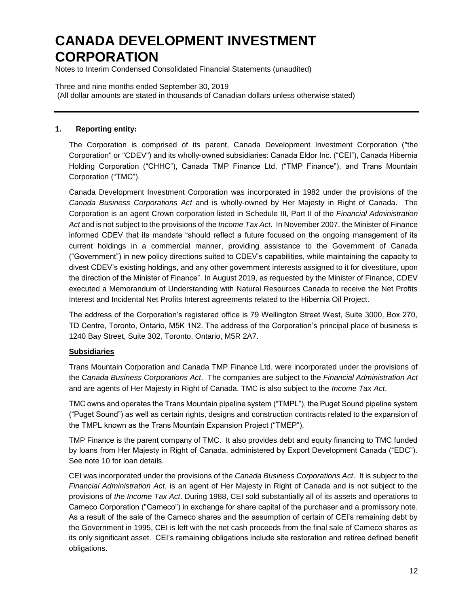Notes to Interim Condensed Consolidated Financial Statements (unaudited)

Three and nine months ended September 30, 2019 (All dollar amounts are stated in thousands of Canadian dollars unless otherwise stated)

### **1. Reporting entity:**

The Corporation is comprised of its parent, Canada Development Investment Corporation ("the Corporation" or "CDEV") and its wholly-owned subsidiaries: Canada Eldor Inc. ("CEI"), Canada Hibernia Holding Corporation ("CHHC"), Canada TMP Finance Ltd. ("TMP Finance"), and Trans Mountain Corporation ("TMC").

Canada Development Investment Corporation was incorporated in 1982 under the provisions of the *Canada Business Corporations Act* and is wholly-owned by Her Majesty in Right of Canada. The Corporation is an agent Crown corporation listed in Schedule III, Part II of the *Financial Administration Act* and is not subject to the provisions of the *Income Tax Act*. In November 2007, the Minister of Finance informed CDEV that its mandate "should reflect a future focused on the ongoing management of its current holdings in a commercial manner, providing assistance to the Government of Canada ("Government") in new policy directions suited to CDEV's capabilities, while maintaining the capacity to divest CDEV's existing holdings, and any other government interests assigned to it for divestiture, upon the direction of the Minister of Finance". In August 2019, as requested by the Minister of Finance, CDEV executed a Memorandum of Understanding with Natural Resources Canada to receive the Net Profits Interest and Incidental Net Profits Interest agreements related to the Hibernia Oil Project.

The address of the Corporation's registered office is 79 Wellington Street West, Suite 3000, Box 270, TD Centre, Toronto, Ontario, M5K 1N2. The address of the Corporation's principal place of business is 1240 Bay Street, Suite 302, Toronto, Ontario, M5R 2A7.

### **Subsidiaries**

Trans Mountain Corporation and Canada TMP Finance Ltd. were incorporated under the provisions of the *Canada Business Corporations Act*. The companies are subject to the *Financial Administration Act* and are agents of Her Majesty in Right of Canada. TMC is also subject to the *Income Tax Act*.

TMC owns and operates the Trans Mountain pipeline system ("TMPL"), the Puget Sound pipeline system ("Puget Sound") as well as certain rights, designs and construction contracts related to the expansion of the TMPL known as the Trans Mountain Expansion Project ("TMEP").

TMP Finance is the parent company of TMC. It also provides debt and equity financing to TMC funded by loans from Her Majesty in Right of Canada, administered by Export Development Canada ("EDC"). See note 10 for loan details.

CEI was incorporated under the provisions of the *Canada Business Corporations Act*. It is subject to the *Financial Administration Act*, is an agent of Her Majesty in Right of Canada and is not subject to the provisions of *the Income Tax Act*. During 1988, CEI sold substantially all of its assets and operations to Cameco Corporation ("Cameco") in exchange for share capital of the purchaser and a promissory note. As a result of the sale of the Cameco shares and the assumption of certain of CEI's remaining debt by the Government in 1995, CEI is left with the net cash proceeds from the final sale of Cameco shares as its only significant asset. CEI's remaining obligations include site restoration and retiree defined benefit obligations.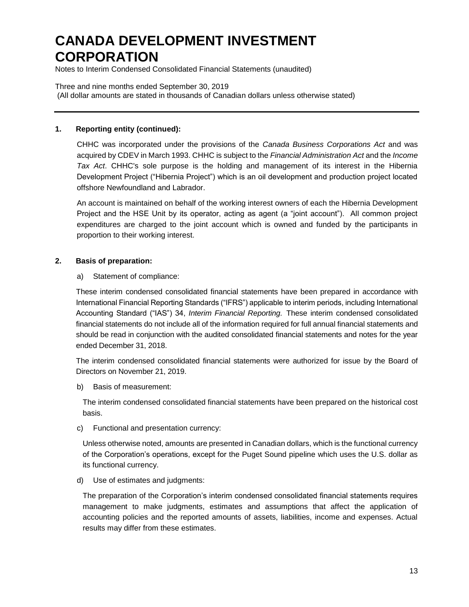Notes to Interim Condensed Consolidated Financial Statements (unaudited)

Three and nine months ended September 30, 2019 (All dollar amounts are stated in thousands of Canadian dollars unless otherwise stated)

### **1. Reporting entity (continued):**

CHHC was incorporated under the provisions of the *Canada Business Corporations Act* and was acquired by CDEV in March 1993. CHHC is subject to the *Financial Administration Act* and the *Income Tax Act*. CHHC's sole purpose is the holding and management of its interest in the Hibernia Development Project ("Hibernia Project") which is an oil development and production project located offshore Newfoundland and Labrador.

An account is maintained on behalf of the working interest owners of each the Hibernia Development Project and the HSE Unit by its operator, acting as agent (a "joint account"). All common project expenditures are charged to the joint account which is owned and funded by the participants in proportion to their working interest.

### **2. Basis of preparation:**

a) Statement of compliance:

These interim condensed consolidated financial statements have been prepared in accordance with International Financial Reporting Standards ("IFRS") applicable to interim periods, including International Accounting Standard ("IAS") 34, *Interim Financial Reporting.* These interim condensed consolidated financial statements do not include all of the information required for full annual financial statements and should be read in conjunction with the audited consolidated financial statements and notes for the year ended December 31, 2018.

The interim condensed consolidated financial statements were authorized for issue by the Board of Directors on November 21, 2019.

b) Basis of measurement:

The interim condensed consolidated financial statements have been prepared on the historical cost basis.

c) Functional and presentation currency:

Unless otherwise noted, amounts are presented in Canadian dollars, which is the functional currency of the Corporation's operations, except for the Puget Sound pipeline which uses the U.S. dollar as its functional currency.

d) Use of estimates and judgments:

The preparation of the Corporation's interim condensed consolidated financial statements requires management to make judgments, estimates and assumptions that affect the application of accounting policies and the reported amounts of assets, liabilities, income and expenses. Actual results may differ from these estimates.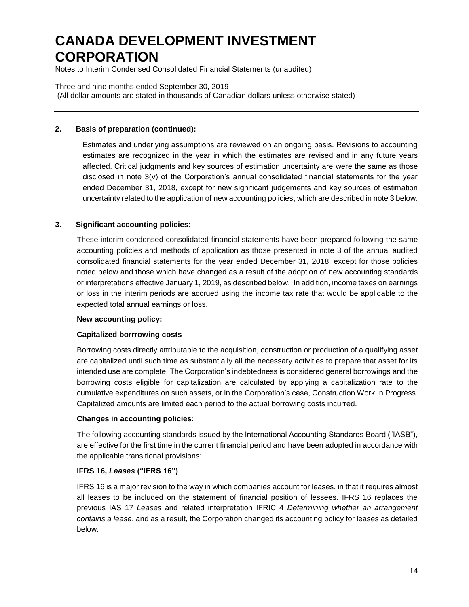Notes to Interim Condensed Consolidated Financial Statements (unaudited)

Three and nine months ended September 30, 2019 (All dollar amounts are stated in thousands of Canadian dollars unless otherwise stated)

### **2. Basis of preparation (continued):**

Estimates and underlying assumptions are reviewed on an ongoing basis. Revisions to accounting estimates are recognized in the year in which the estimates are revised and in any future years affected. Critical judgments and key sources of estimation uncertainty are were the same as those disclosed in note 3(v) of the Corporation's annual consolidated financial statements for the year ended December 31, 2018, except for new significant judgements and key sources of estimation uncertainty related to the application of new accounting policies, which are described in note 3 below.

### **3. Significant accounting policies:**

These interim condensed consolidated financial statements have been prepared following the same accounting policies and methods of application as those presented in note 3 of the annual audited consolidated financial statements for the year ended December 31, 2018, except for those policies noted below and those which have changed as a result of the adoption of new accounting standards or interpretations effective January 1, 2019, as described below. In addition, income taxes on earnings or loss in the interim periods are accrued using the income tax rate that would be applicable to the expected total annual earnings or loss.

#### **New accounting policy:**

### **Capitalized borrrowing costs**

Borrowing costs directly attributable to the acquisition, construction or production of a qualifying asset are capitalized until such time as substantially all the necessary activities to prepare that asset for its intended use are complete. The Corporation's indebtedness is considered general borrowings and the borrowing costs eligible for capitalization are calculated by applying a capitalization rate to the cumulative expenditures on such assets, or in the Corporation's case, Construction Work In Progress. Capitalized amounts are limited each period to the actual borrowing costs incurred.

#### **Changes in accounting policies:**

The following accounting standards issued by the International Accounting Standards Board ("IASB"), are effective for the first time in the current financial period and have been adopted in accordance with the applicable transitional provisions:

#### **IFRS 16,** *Leases* **("IFRS 16")**

IFRS 16 is a major revision to the way in which companies account for leases, in that it requires almost all leases to be included on the statement of financial position of lessees. IFRS 16 replaces the previous IAS 17 *Leases* and related interpretation IFRIC 4 *Determining whether an arrangement contains a lease*, and as a result, the Corporation changed its accounting policy for leases as detailed below.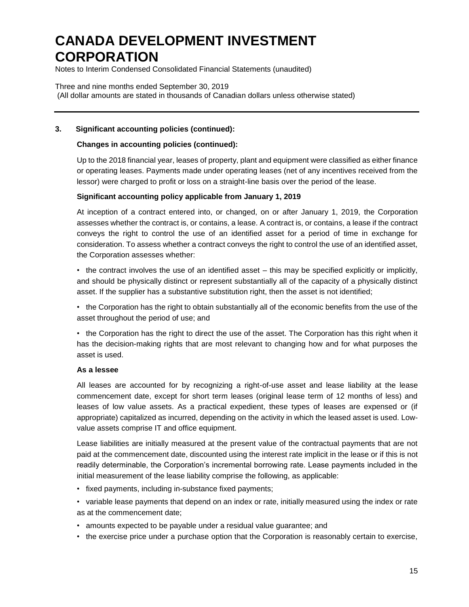Notes to Interim Condensed Consolidated Financial Statements (unaudited)

Three and nine months ended September 30, 2019 (All dollar amounts are stated in thousands of Canadian dollars unless otherwise stated)

### **3. Significant accounting policies (continued):**

### **Changes in accounting policies (continued):**

Up to the 2018 financial year, leases of property, plant and equipment were classified as either finance or operating leases. Payments made under operating leases (net of any incentives received from the lessor) were charged to profit or loss on a straight-line basis over the period of the lease.

### **Significant accounting policy applicable from January 1, 2019**

At inception of a contract entered into, or changed, on or after January 1, 2019, the Corporation assesses whether the contract is, or contains, a lease. A contract is, or contains, a lease if the contract conveys the right to control the use of an identified asset for a period of time in exchange for consideration. To assess whether a contract conveys the right to control the use of an identified asset, the Corporation assesses whether:

• the contract involves the use of an identified asset – this may be specified explicitly or implicitly, and should be physically distinct or represent substantially all of the capacity of a physically distinct asset. If the supplier has a substantive substitution right, then the asset is not identified;

• the Corporation has the right to obtain substantially all of the economic benefits from the use of the asset throughout the period of use; and

• the Corporation has the right to direct the use of the asset. The Corporation has this right when it has the decision-making rights that are most relevant to changing how and for what purposes the asset is used.

#### **As a lessee**

All leases are accounted for by recognizing a right-of-use asset and lease liability at the lease commencement date, except for short term leases (original lease term of 12 months of less) and leases of low value assets. As a practical expedient, these types of leases are expensed or (if appropriate) capitalized as incurred, depending on the activity in which the leased asset is used. Lowvalue assets comprise IT and office equipment.

Lease liabilities are initially measured at the present value of the contractual payments that are not paid at the commencement date, discounted using the interest rate implicit in the lease or if this is not readily determinable, the Corporation's incremental borrowing rate. Lease payments included in the initial measurement of the lease liability comprise the following, as applicable:

- fixed payments, including in-substance fixed payments;
- variable lease payments that depend on an index or rate, initially measured using the index or rate as at the commencement date;
- amounts expected to be payable under a residual value guarantee; and
- the exercise price under a purchase option that the Corporation is reasonably certain to exercise,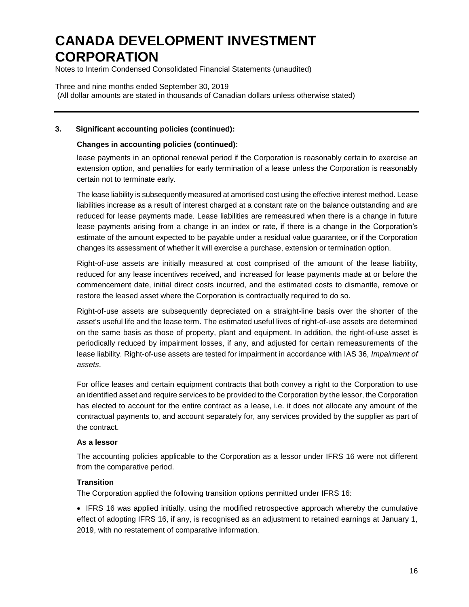Notes to Interim Condensed Consolidated Financial Statements (unaudited)

Three and nine months ended September 30, 2019 (All dollar amounts are stated in thousands of Canadian dollars unless otherwise stated)

### **3. Significant accounting policies (continued):**

### **Changes in accounting policies (continued):**

lease payments in an optional renewal period if the Corporation is reasonably certain to exercise an extension option, and penalties for early termination of a lease unless the Corporation is reasonably certain not to terminate early.

The lease liability is subsequently measured at amortised cost using the effective interest method. Lease liabilities increase as a result of interest charged at a constant rate on the balance outstanding and are reduced for lease payments made. Lease liabilities are remeasured when there is a change in future lease payments arising from a change in an index or rate, if there is a change in the Corporation's estimate of the amount expected to be payable under a residual value guarantee, or if the Corporation changes its assessment of whether it will exercise a purchase, extension or termination option.

Right-of-use assets are initially measured at cost comprised of the amount of the lease liability, reduced for any lease incentives received, and increased for lease payments made at or before the commencement date, initial direct costs incurred, and the estimated costs to dismantle, remove or restore the leased asset where the Corporation is contractually required to do so.

Right-of-use assets are subsequently depreciated on a straight-line basis over the shorter of the asset's useful life and the lease term. The estimated useful lives of right-of-use assets are determined on the same basis as those of property, plant and equipment. In addition, the right-of-use asset is periodically reduced by impairment losses, if any, and adjusted for certain remeasurements of the lease liability. Right-of-use assets are tested for impairment in accordance with IAS 36, *Impairment of assets*.

For office leases and certain equipment contracts that both convey a right to the Corporation to use an identified asset and require services to be provided to the Corporation by the lessor, the Corporation has elected to account for the entire contract as a lease, i.e. it does not allocate any amount of the contractual payments to, and account separately for, any services provided by the supplier as part of the contract.

#### **As a lessor**

The accounting policies applicable to the Corporation as a lessor under IFRS 16 were not different from the comparative period.

#### **Transition**

The Corporation applied the following transition options permitted under IFRS 16:

• IFRS 16 was applied initially, using the modified retrospective approach whereby the cumulative effect of adopting IFRS 16, if any, is recognised as an adjustment to retained earnings at January 1, 2019, with no restatement of comparative information.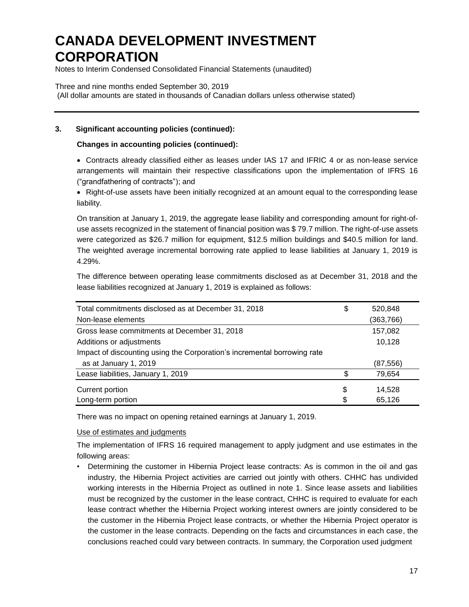Notes to Interim Condensed Consolidated Financial Statements (unaudited)

Three and nine months ended September 30, 2019 (All dollar amounts are stated in thousands of Canadian dollars unless otherwise stated)

## **3. Significant accounting policies (continued):**

### **Changes in accounting policies (continued):**

 Contracts already classified either as leases under IAS 17 and IFRIC 4 or as non-lease service arrangements will maintain their respective classifications upon the implementation of IFRS 16 ("grandfathering of contracts"); and

• Right-of-use assets have been initially recognized at an amount equal to the corresponding lease liability.

On transition at January 1, 2019, the aggregate lease liability and corresponding amount for right-ofuse assets recognized in the statement of financial position was \$ 79.7 million. The right-of-use assets were categorized as \$26.7 million for equipment, \$12.5 million buildings and \$40.5 million for land. The weighted average incremental borrowing rate applied to lease liabilities at January 1, 2019 is 4.29%.

The difference between operating lease commitments disclosed as at December 31, 2018 and the lease liabilities recognized at January 1, 2019 is explained as follows:

| Total commitments disclosed as at December 31, 2018                      | \$<br>520,848 |
|--------------------------------------------------------------------------|---------------|
| Non-lease elements                                                       | (363, 766)    |
| Gross lease commitments at December 31, 2018                             | 157,082       |
| Additions or adjustments                                                 | 10,128        |
| Impact of discounting using the Corporation's incremental borrowing rate |               |
| as at January 1, 2019                                                    | (87, 556)     |
| Lease liabilities, January 1, 2019                                       | \$<br>79,654  |
| Current portion                                                          | \$<br>14.528  |
| Long-term portion                                                        | \$<br>65,126  |

There was no impact on opening retained earnings at January 1, 2019.

Use of estimates and judgments

The implementation of IFRS 16 required management to apply judgment and use estimates in the following areas:

• Determining the customer in Hibernia Project lease contracts: As is common in the oil and gas industry, the Hibernia Project activities are carried out jointly with others. CHHC has undivided working interests in the Hibernia Project as outlined in note 1. Since lease assets and liabilities must be recognized by the customer in the lease contract, CHHC is required to evaluate for each lease contract whether the Hibernia Project working interest owners are jointly considered to be the customer in the Hibernia Project lease contracts, or whether the Hibernia Project operator is the customer in the lease contracts. Depending on the facts and circumstances in each case, the conclusions reached could vary between contracts. In summary, the Corporation used judgment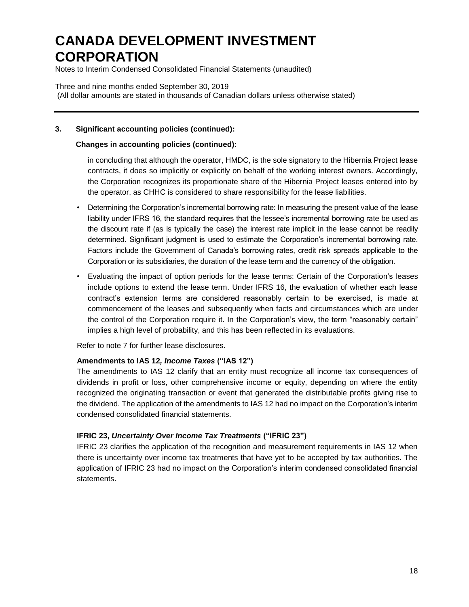Notes to Interim Condensed Consolidated Financial Statements (unaudited)

Three and nine months ended September 30, 2019 (All dollar amounts are stated in thousands of Canadian dollars unless otherwise stated)

### **3. Significant accounting policies (continued):**

### **Changes in accounting policies (continued):**

in concluding that although the operator, HMDC, is the sole signatory to the Hibernia Project lease contracts, it does so implicitly or explicitly on behalf of the working interest owners. Accordingly, the Corporation recognizes its proportionate share of the Hibernia Project leases entered into by the operator, as CHHC is considered to share responsibility for the lease liabilities.

- Determining the Corporation's incremental borrowing rate: In measuring the present value of the lease liability under IFRS 16, the standard requires that the lessee's incremental borrowing rate be used as the discount rate if (as is typically the case) the interest rate implicit in the lease cannot be readily determined. Significant judgment is used to estimate the Corporation's incremental borrowing rate. Factors include the Government of Canada's borrowing rates, credit risk spreads applicable to the Corporation or its subsidiaries, the duration of the lease term and the currency of the obligation.
- Evaluating the impact of option periods for the lease terms: Certain of the Corporation's leases include options to extend the lease term. Under IFRS 16, the evaluation of whether each lease contract's extension terms are considered reasonably certain to be exercised, is made at commencement of the leases and subsequently when facts and circumstances which are under the control of the Corporation require it. In the Corporation's view, the term "reasonably certain" implies a high level of probability, and this has been reflected in its evaluations.

Refer to note 7 for further lease disclosures.

#### **Amendments to IAS 12***, Income Taxes* **("IAS 12")**

The amendments to IAS 12 clarify that an entity must recognize all income tax consequences of dividends in profit or loss, other comprehensive income or equity, depending on where the entity recognized the originating transaction or event that generated the distributable profits giving rise to the dividend. The application of the amendments to IAS 12 had no impact on the Corporation's interim condensed consolidated financial statements.

### **IFRIC 23,** *Uncertainty Over Income Tax Treatments* **("IFRIC 23")**

IFRIC 23 clarifies the application of the recognition and measurement requirements in IAS 12 when there is uncertainty over income tax treatments that have yet to be accepted by tax authorities. The application of IFRIC 23 had no impact on the Corporation's interim condensed consolidated financial statements.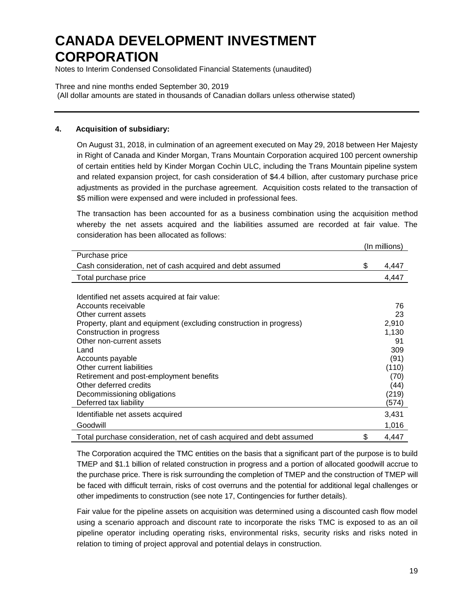Notes to Interim Condensed Consolidated Financial Statements (unaudited)

Three and nine months ended September 30, 2019 (All dollar amounts are stated in thousands of Canadian dollars unless otherwise stated)

### **4. Acquisition of subsidiary:**

On August 31, 2018, in culmination of an agreement executed on May 29, 2018 between Her Majesty in Right of Canada and Kinder Morgan, Trans Mountain Corporation acquired 100 percent ownership of certain entities held by Kinder Morgan Cochin ULC, including the Trans Mountain pipeline system and related expansion project, for cash consideration of \$4.4 billion, after customary purchase price adjustments as provided in the purchase agreement. Acquisition costs related to the transaction of \$5 million were expensed and were included in professional fees.

The transaction has been accounted for as a business combination using the acquisition method whereby the net assets acquired and the liabilities assumed are recorded at fair value. The consideration has been allocated as follows:

|                                                                     | (In millions) |
|---------------------------------------------------------------------|---------------|
| Purchase price                                                      |               |
| Cash consideration, net of cash acquired and debt assumed           | \$<br>4,447   |
| Total purchase price                                                | 4,447         |
|                                                                     |               |
| Identified net assets acquired at fair value:                       |               |
| Accounts receivable                                                 | 76            |
| Other current assets                                                | 23            |
| Property, plant and equipment (excluding construction in progress)  | 2,910         |
| Construction in progress                                            | 1,130         |
| Other non-current assets                                            | 91            |
| Land                                                                | 309           |
| Accounts payable                                                    | (91)          |
| Other current liabilities                                           | (110)         |
| Retirement and post-employment benefits                             | (70)          |
| Other deferred credits                                              | (44)          |
| Decommissioning obligations                                         | (219)         |
| Deferred tax liability                                              | (574)         |
| Identifiable net assets acquired                                    | 3,431         |
| Goodwill                                                            | 1,016         |
| Total purchase consideration, net of cash acquired and debt assumed | \$<br>4,447   |

The Corporation acquired the TMC entities on the basis that a significant part of the purpose is to build TMEP and \$1.1 billion of related construction in progress and a portion of allocated goodwill accrue to the purchase price. There is risk surrounding the completion of TMEP and the construction of TMEP will be faced with difficult terrain, risks of cost overruns and the potential for additional legal challenges or other impediments to construction (see note 17, Contingencies for further details).

Fair value for the pipeline assets on acquisition was determined using a discounted cash flow model using a scenario approach and discount rate to incorporate the risks TMC is exposed to as an oil pipeline operator including operating risks, environmental risks, security risks and risks noted in relation to timing of project approval and potential delays in construction.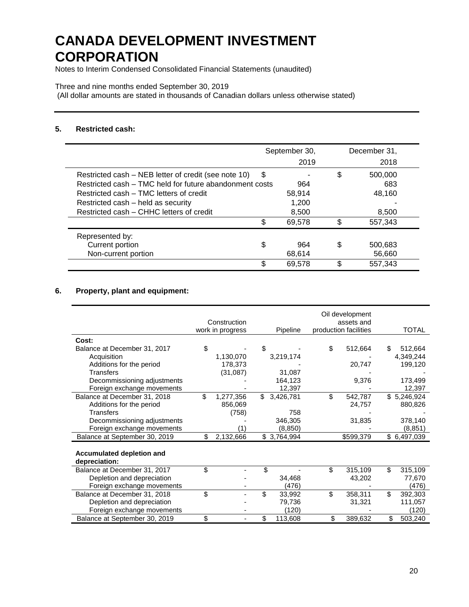Notes to Interim Condensed Consolidated Financial Statements (unaudited)

#### Three and nine months ended September 30, 2019

(All dollar amounts are stated in thousands of Canadian dollars unless otherwise stated)

#### **5. Restricted cash:**

|                                                         | September 30, |        | December 31,  |
|---------------------------------------------------------|---------------|--------|---------------|
|                                                         |               | 2019   | 2018          |
| Restricted cash – NEB letter of credit (see note 10)    | \$            |        | \$<br>500,000 |
| Restricted cash – TMC held for future abandonment costs |               | 964    | 683           |
| Restricted cash – TMC letters of credit                 |               | 58.914 | 48.160        |
| Restricted cash - held as security                      |               | 1,200  |               |
| Restricted cash – CHHC letters of credit                |               | 8,500  | 8,500         |
|                                                         | \$            | 69,578 | \$<br>557,343 |
| Represented by:                                         |               |        |               |
| Current portion                                         | \$            | 964    | \$<br>500,683 |
| Non-current portion                                     |               | 68.614 | 56,660        |
|                                                         | \$            | 69.578 | \$<br>557.343 |

## **6. Property, plant and equipment:**

|                                                   |     | Construction<br>work in progress | Pipeline        | Oil development<br>assets and<br>production facilities | <b>TOTAL</b>  |
|---------------------------------------------------|-----|----------------------------------|-----------------|--------------------------------------------------------|---------------|
| Cost:                                             |     |                                  |                 |                                                        |               |
| Balance at December 31, 2017                      | \$  |                                  | \$              | \$<br>512,664                                          | \$<br>512,664 |
| Acquisition                                       |     | 1,130,070                        | 3,219,174       |                                                        | 4,349,244     |
| Additions for the period                          |     | 178,373                          |                 | 20,747                                                 | 199,120       |
| <b>Transfers</b>                                  |     | (31,087)                         | 31,087          |                                                        |               |
| Decommissioning adjustments                       |     |                                  | 164,123         | 9,376                                                  | 173,499       |
| Foreign exchange movements                        |     |                                  | 12,397          |                                                        | 12,397        |
| Balance at December 31, 2018                      | \$. | 1,277,356                        | \$<br>3,426,781 | \$<br>542,787                                          | \$5,246,924   |
| Additions for the period                          |     | 856,069                          |                 | 24,757                                                 | 880,826       |
| Transfers                                         |     | (758)                            | 758             |                                                        |               |
| Decommissioning adjustments                       |     |                                  | 346,305         | 31,835                                                 | 378,140       |
| Foreign exchange movements                        |     | (1)                              | (8, 850)        |                                                        | (8, 851)      |
| Balance at September 30, 2019                     | \$  | 2,132,666                        | \$3,764,994     | \$599,379                                              | \$ 6,497,039  |
| <b>Accumulated depletion and</b><br>depreciation: |     |                                  |                 |                                                        |               |
| Balance at December 31, 2017                      | \$  |                                  | \$              | \$<br>315,109                                          | \$<br>315,109 |
| Depletion and depreciation                        |     |                                  | 34,468          | 43.202                                                 | 77.670        |
| Foreign exchange movements                        |     |                                  | (476)           |                                                        | (476)         |
| Balance at December 31, 2018                      | \$  |                                  | \$<br>33,992    | \$<br>358,311                                          | \$<br>392,303 |
| Depletion and depreciation                        |     |                                  | 79,736          | 31,321                                                 | 111,057       |
| Foreign exchange movements                        |     |                                  | (120)           |                                                        | (120)         |
| Balance at September 30, 2019                     | \$  |                                  | \$<br>113,608   | \$<br>389,632                                          | \$<br>503,240 |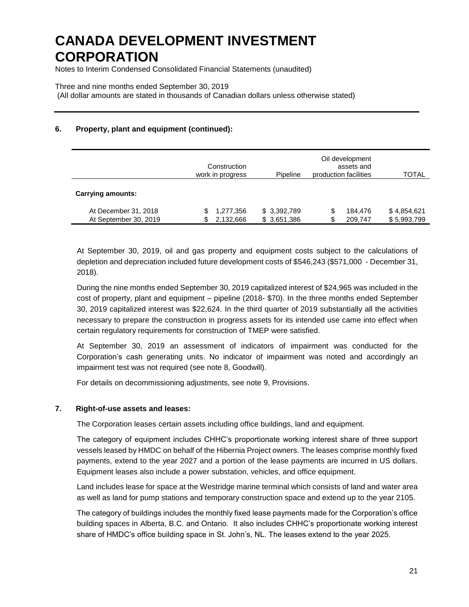Notes to Interim Condensed Consolidated Financial Statements (unaudited)

Three and nine months ended September 30, 2019

(All dollar amounts are stated in thousands of Canadian dollars unless otherwise stated)

## **6. Property, plant and equipment (continued):**

|                          | Construction<br>work in progress | Pipeline    | Oil development<br>production facilities | assets and | TOTAL       |
|--------------------------|----------------------------------|-------------|------------------------------------------|------------|-------------|
| <b>Carrying amounts:</b> |                                  |             |                                          |            |             |
| At December 31, 2018     | 1,277,356<br>S                   | \$3,392,789 |                                          | 184.476    | \$4,854,621 |
| At September 30, 2019    | 2,132,666<br>\$                  | \$3,651,386 |                                          | 209,747    | \$5,993,799 |

At September 30, 2019, oil and gas property and equipment costs subject to the calculations of depletion and depreciation included future development costs of \$546,243 (\$571,000 - December 31, 2018).

During the nine months ended September 30, 2019 capitalized interest of \$24,965 was included in the cost of property, plant and equipment – pipeline (2018- \$70). In the three months ended September 30, 2019 capitalized interest was \$22,624. In the third quarter of 2019 substantially all the activities necessary to prepare the construction in progress assets for its intended use came into effect when certain regulatory requirements for construction of TMEP were satisfied.

At September 30, 2019 an assessment of indicators of impairment was conducted for the Corporation's cash generating units. No indicator of impairment was noted and accordingly an impairment test was not required (see note 8, Goodwill).

For details on decommissioning adjustments, see note 9, Provisions.

### **7. Right-of-use assets and leases:**

The Corporation leases certain assets including office buildings, land and equipment.

The category of equipment includes CHHC's proportionate working interest share of three support vessels leased by HMDC on behalf of the Hibernia Project owners. The leases comprise monthly fixed payments, extend to the year 2027 and a portion of the lease payments are incurred in US dollars. Equipment leases also include a power substation, vehicles, and office equipment.

Land includes lease for space at the Westridge marine terminal which consists of land and water area as well as land for pump stations and temporary construction space and extend up to the year 2105.

The category of buildings includes the monthly fixed lease payments made for the Corporation's office building spaces in Alberta, B.C. and Ontario. It also includes CHHC's proportionate working interest share of HMDC's office building space in St. John's, NL. The leases extend to the year 2025.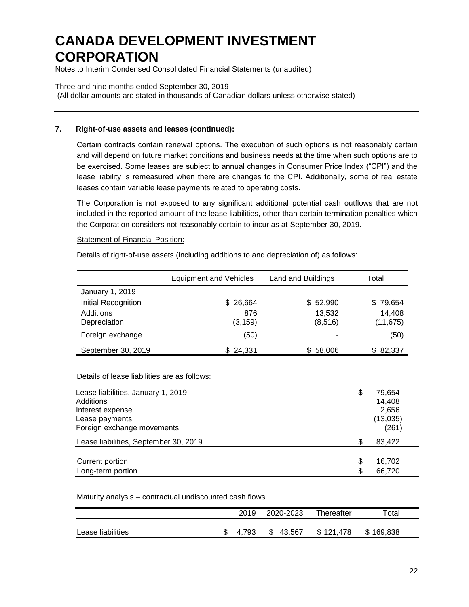Notes to Interim Condensed Consolidated Financial Statements (unaudited)

Three and nine months ended September 30, 2019 (All dollar amounts are stated in thousands of Canadian dollars unless otherwise stated)

### **7. Right-of-use assets and leases (continued):**

Certain contracts contain renewal options. The execution of such options is not reasonably certain and will depend on future market conditions and business needs at the time when such options are to be exercised. Some leases are subject to annual changes in Consumer Price Index ("CPI") and the lease liability is remeasured when there are changes to the CPI. Additionally, some of real estate leases contain variable lease payments related to operating costs.

The Corporation is not exposed to any significant additional potential cash outflows that are not included in the reported amount of the lease liabilities, other than certain termination penalties which the Corporation considers not reasonably certain to incur as at September 30, 2019.

#### **Statement of Financial Position:**

Details of right-of-use assets (including additions to and depreciation of) as follows:

|                     | <b>Equipment and Vehicles</b> | Land and Buildings | Total     |
|---------------------|-------------------------------|--------------------|-----------|
| January 1, 2019     |                               |                    |           |
| Initial Recognition | \$26,664                      | \$52,990           | \$79,654  |
| Additions           | 876                           | 13,532             | 14,408    |
| Depreciation        | (3, 159)                      | (8,516)            | (11, 675) |
| Foreign exchange    | (50)                          | ٠                  | (50)      |
| September 30, 2019  | \$24,331                      | \$58,006           | \$82,337  |

Details of lease liabilities are as follows:

| Lease liabilities, January 1, 2019    | \$<br>79,654 |
|---------------------------------------|--------------|
| Additions                             | 14,408       |
| Interest expense                      | 2,656        |
| Lease payments                        | (13,035)     |
| Foreign exchange movements            | (261)        |
| Lease liabilities, September 30, 2019 | \$<br>83,422 |
|                                       |              |
| Current portion                       | \$<br>16,702 |
| Long-term portion                     | \$<br>66.720 |

#### Maturity analysis – contractual undiscounted cash flows

|                   | 2019  | 2020-2023 | Thereafter | Total     |
|-------------------|-------|-----------|------------|-----------|
| Lease liabilities | 4.793 | \$43,567  | \$121.478  | \$169,838 |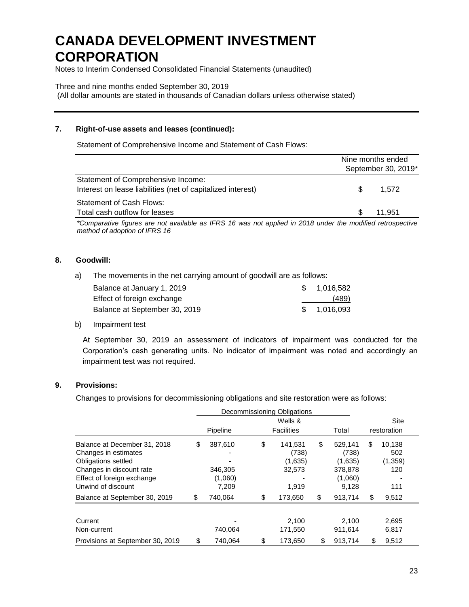Notes to Interim Condensed Consolidated Financial Statements (unaudited)

Three and nine months ended September 30, 2019

(All dollar amounts are stated in thousands of Canadian dollars unless otherwise stated)

## **7. Right-of-use assets and leases (continued):**

Statement of Comprehensive Income and Statement of Cash Flows:

|                                                             |     | Nine months ended   |
|-------------------------------------------------------------|-----|---------------------|
|                                                             |     | September 30, 2019* |
| Statement of Comprehensive Income:                          |     |                     |
| Interest on lease liabilities (net of capitalized interest) | \$. | 1.572               |
| Statement of Cash Flows:                                    |     |                     |
| Total cash outflow for leases                               |     | 11.951              |

*\*Comparative figures are not available as IFRS 16 was not applied in 2018 under the modified retrospective method of adoption of IFRS 16*

### **8. Goodwill:**

a) The movements in the net carrying amount of goodwill are as follows:

| Balance at January 1, 2019    | \$1,016,582  |
|-------------------------------|--------------|
| Effect of foreign exchange    | (489)        |
| Balance at September 30, 2019 | \$ 1.016.093 |

b) Impairment test

At September 30, 2019 an assessment of indicators of impairment was conducted for the Corporation's cash generating units. No indicator of impairment was noted and accordingly an impairment test was not required.

### **9. Provisions:**

Changes to provisions for decommissioning obligations and site restoration were as follows:

|                                                                              | Decommissioning Obligations |                                   |    |                             |      |                          |  |
|------------------------------------------------------------------------------|-----------------------------|-----------------------------------|----|-----------------------------|------|--------------------------|--|
|                                                                              |                             | Wells &                           |    |                             | Site |                          |  |
|                                                                              | <b>Pipeline</b>             | <b>Facilities</b>                 |    | Total                       |      | restoration              |  |
| Balance at December 31, 2018<br>Changes in estimates<br>Obligations settled  | \$<br>387,610               | \$<br>141,531<br>(738)<br>(1,635) | \$ | 529.141<br>(738)<br>(1,635) | \$   | 10,138<br>502<br>(1,359) |  |
| Changes in discount rate<br>Effect of foreign exchange<br>Unwind of discount | 346,305<br>(1,060)<br>7.209 | 32,573<br>1,919                   |    | 378,878<br>(1,060)<br>9.128 |      | 120<br>111               |  |
| Balance at September 30, 2019                                                | \$<br>740,064               | \$<br>173,650                     | \$ | 913,714                     | \$   | 9,512                    |  |
| Current<br>Non-current                                                       | 740.064                     | 2.100<br>171,550                  |    | 2.100<br>911.614            |      | 2,695<br>6,817           |  |
| Provisions at September 30, 2019                                             | \$<br>740,064               | \$<br>173,650                     | \$ | 913,714                     | \$   | 9,512                    |  |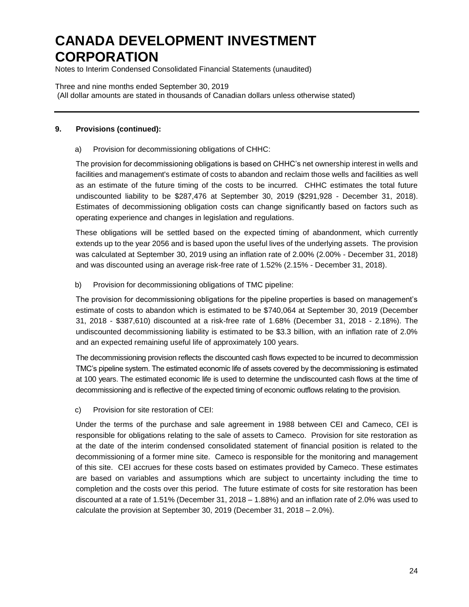Notes to Interim Condensed Consolidated Financial Statements (unaudited)

Three and nine months ended September 30, 2019 (All dollar amounts are stated in thousands of Canadian dollars unless otherwise stated)

### **9. Provisions (continued):**

### a) Provision for decommissioning obligations of CHHC:

The provision for decommissioning obligations is based on CHHC's net ownership interest in wells and facilities and management's estimate of costs to abandon and reclaim those wells and facilities as well as an estimate of the future timing of the costs to be incurred. CHHC estimates the total future undiscounted liability to be \$287,476 at September 30, 2019 (\$291,928 - December 31, 2018). Estimates of decommissioning obligation costs can change significantly based on factors such as operating experience and changes in legislation and regulations.

These obligations will be settled based on the expected timing of abandonment, which currently extends up to the year 2056 and is based upon the useful lives of the underlying assets. The provision was calculated at September 30, 2019 using an inflation rate of 2.00% (2.00% - December 31, 2018) and was discounted using an average risk-free rate of 1.52% (2.15% - December 31, 2018).

b) Provision for decommissioning obligations of TMC pipeline:

The provision for decommissioning obligations for the pipeline properties is based on management's estimate of costs to abandon which is estimated to be \$740,064 at September 30, 2019 (December 31, 2018 - \$387,610) discounted at a risk-free rate of 1.68% (December 31, 2018 - 2.18%). The undiscounted decommissioning liability is estimated to be \$3.3 billion, with an inflation rate of 2.0% and an expected remaining useful life of approximately 100 years.

The decommissioning provision reflects the discounted cash flows expected to be incurred to decommission TMC's pipeline system. The estimated economic life of assets covered by the decommissioning is estimated at 100 years. The estimated economic life is used to determine the undiscounted cash flows at the time of decommissioning and is reflective of the expected timing of economic outflows relating to the provision.

c) Provision for site restoration of CEI:

Under the terms of the purchase and sale agreement in 1988 between CEI and Cameco, CEI is responsible for obligations relating to the sale of assets to Cameco. Provision for site restoration as at the date of the interim condensed consolidated statement of financial position is related to the decommissioning of a former mine site. Cameco is responsible for the monitoring and management of this site. CEI accrues for these costs based on estimates provided by Cameco. These estimates are based on variables and assumptions which are subject to uncertainty including the time to completion and the costs over this period. The future estimate of costs for site restoration has been discounted at a rate of 1.51% (December 31, 2018 – 1.88%) and an inflation rate of 2.0% was used to calculate the provision at September 30, 2019 (December 31, 2018 – 2.0%).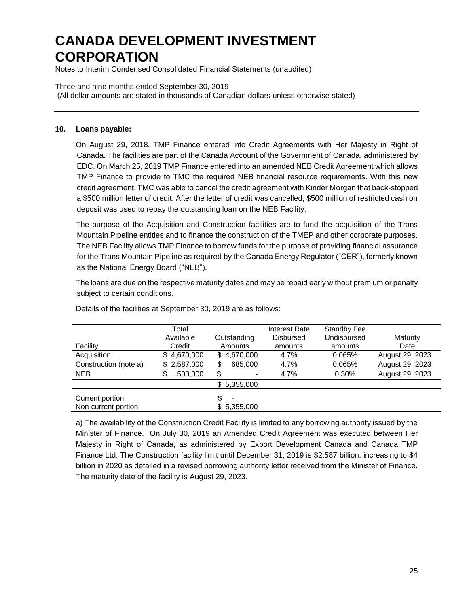Notes to Interim Condensed Consolidated Financial Statements (unaudited)

Three and nine months ended September 30, 2019

(All dollar amounts are stated in thousands of Canadian dollars unless otherwise stated)

#### **10. Loans payable:**

On August 29, 2018, TMP Finance entered into Credit Agreements with Her Majesty in Right of Canada. The facilities are part of the Canada Account of the Government of Canada, administered by EDC. On March 25, 2019 TMP Finance entered into an amended NEB Credit Agreement which allows TMP Finance to provide to TMC the required NEB financial resource requirements. With this new credit agreement, TMC was able to cancel the credit agreement with Kinder Morgan that back-stopped a \$500 million letter of credit. After the letter of credit was cancelled, \$500 million of restricted cash on deposit was used to repay the outstanding loan on the NEB Facility.

The purpose of the Acquisition and Construction facilities are to fund the acquisition of the Trans Mountain Pipeline entities and to finance the construction of the TMEP and other corporate purposes. The NEB Facility allows TMP Finance to borrow funds for the purpose of providing financial assurance for the Trans Mountain Pipeline as required by the Canada Energy Regulator ("CER"), formerly known as the National Energy Board ("NEB").

The loans are due on the respective maturity dates and may be repaid early without premium or penalty subject to certain conditions.

|                                        | Total<br>Available | Outstanding          | Interest Rate<br>Disbursed | <b>Standby Fee</b><br>Undisbursed | Maturity        |
|----------------------------------------|--------------------|----------------------|----------------------------|-----------------------------------|-----------------|
| Facility                               | Credit             | Amounts              | amounts                    | amounts                           | Date            |
| Acquisition                            | \$4,670,000        | \$4,670,000          | 4.7%                       | 0.065%                            | August 29, 2023 |
| Construction (note a)                  | \$2,587,000        | \$<br>685,000        | 4.7%                       | 0.065%                            | August 29, 2023 |
| <b>NEB</b>                             | 500,000<br>\$      | \$<br>$\blacksquare$ | 4.7%                       | 0.30%                             | August 29, 2023 |
|                                        |                    | \$5,355,000          |                            |                                   |                 |
| Current portion<br>Non-current portion |                    | \$<br>\$5,355,000    |                            |                                   |                 |

Details of the facilities at September 30, 2019 are as follows:

a) The availability of the Construction Credit Facility is limited to any borrowing authority issued by the Minister of Finance. On July 30, 2019 an Amended Credit Agreement was executed between Her Majesty in Right of Canada, as administered by Export Development Canada and Canada TMP Finance Ltd. The Construction facility limit until December 31, 2019 is \$2.587 billion, increasing to \$4 billion in 2020 as detailed in a revised borrowing authority letter received from the Minister of Finance. The maturity date of the facility is August 29, 2023.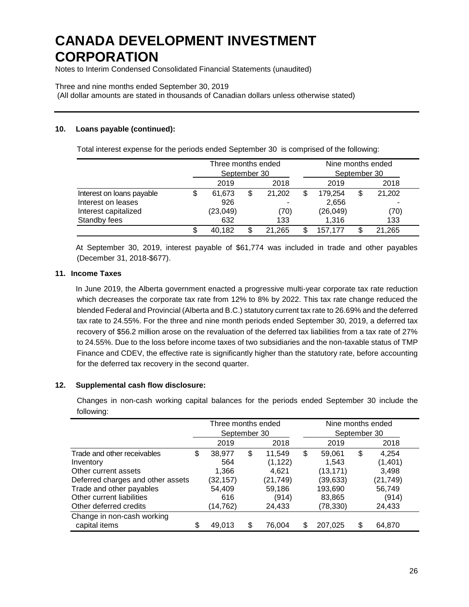Notes to Interim Condensed Consolidated Financial Statements (unaudited)

### Three and nine months ended September 30, 2019

(All dollar amounts are stated in thousands of Canadian dollars unless otherwise stated)

### **10. Loans payable (continued):**

Total interest expense for the periods ended September 30 is comprised of the following:

|                                                                                         |    | Three months ended<br>September 30 |                             | Nine months ended<br>September 30            |    |                       |
|-----------------------------------------------------------------------------------------|----|------------------------------------|-----------------------------|----------------------------------------------|----|-----------------------|
|                                                                                         |    | 2019                               | 2018                        | 2019                                         |    | 2018                  |
| Interest on loans payable<br>Interest on leases<br>Interest capitalized<br>Standby fees | \$ | 61,673<br>926<br>(23, 049)<br>632  | \$<br>21,202<br>(70)<br>133 | \$<br>179,254<br>2,656<br>(26, 049)<br>1.316 | \$ | 21,202<br>(70)<br>133 |
|                                                                                         | S  | 40.182                             | \$<br>21.265                | 157.177                                      | \$ | 21,265                |

At September 30, 2019, interest payable of \$61,774 was included in trade and other payables (December 31, 2018-\$677).

### **11. Income Taxes**

In June 2019, the Alberta government enacted a progressive multi-year corporate tax rate reduction which decreases the corporate tax rate from 12% to 8% by 2022. This tax rate change reduced the blended Federal and Provincial (Alberta and B.C.) statutory current tax rate to 26.69% and the deferred tax rate to 24.55%. For the three and nine month periods ended September 30, 2019, a deferred tax recovery of \$56.2 million arose on the revaluation of the deferred tax liabilities from a tax rate of 27% to 24.55%. Due to the loss before income taxes of two subsidiaries and the non-taxable status of TMP Finance and CDEV, the effective rate is significantly higher than the statutory rate, before accounting for the deferred tax recovery in the second quarter.

### **12. Supplemental cash flow disclosure:**

Changes in non-cash working capital balances for the periods ended September 30 include the following:

|                                   | Three months ended |              |    | Nine months ended |              |
|-----------------------------------|--------------------|--------------|----|-------------------|--------------|
|                                   | September 30       |              |    | September 30      |              |
|                                   | 2019               | 2018         |    | 2019              | 2018         |
| Trade and other receivables       | \$<br>38,977       | \$<br>11.549 | \$ | 59,061            | \$<br>4,254  |
| Inventory                         | 564                | (1, 122)     |    | 1,543             | (1,401)      |
| Other current assets              | 1,366              | 4.621        |    | (13, 171)         | 3,498        |
| Deferred charges and other assets | (32, 157)          | (21,749)     |    | (39,633)          | (21, 749)    |
| Trade and other payables          | 54,409             | 59,186       |    | 193,690           | 56,749       |
| Other current liabilities         | 616                | (914)        |    | 83,865            | (914)        |
| Other deferred credits            | (14,762)           | 24,433       |    | (78,330)          | 24,433       |
| Change in non-cash working        |                    |              |    |                   |              |
| capital items                     | 49.013             | \$<br>76.004 | S  | 207,025           | \$<br>64,870 |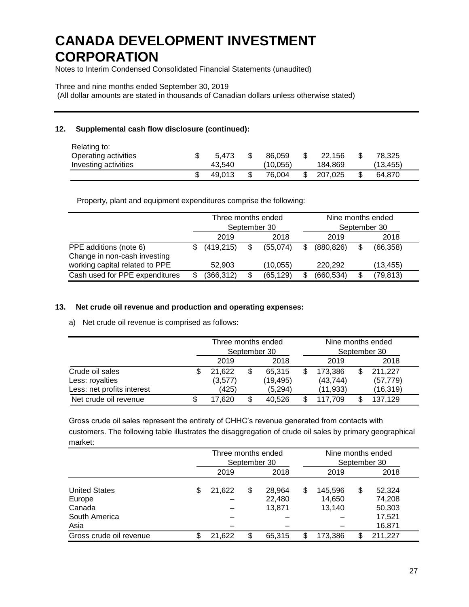Notes to Interim Condensed Consolidated Financial Statements (unaudited)

### Three and nine months ended September 30, 2019

(All dollar amounts are stated in thousands of Canadian dollars unless otherwise stated)

## **12. Supplemental cash flow disclosure (continued):**

| Relating to:<br>Operating activities | 5.473  | 86.059   | 22.156  | 78.325    |  |
|--------------------------------------|--------|----------|---------|-----------|--|
| Investing activities                 | 43.540 | (10.055) | 184.869 | (13, 455) |  |
|                                      | 49.013 | 76.004   | 207.025 | 64,870    |  |

Property, plant and equipment expenditures comprise the following:

|                                                        | Three months ended<br>September 30 |    |           |    | Nine months ended | September 30 |           |
|--------------------------------------------------------|------------------------------------|----|-----------|----|-------------------|--------------|-----------|
|                                                        | 2019                               |    | 2018      |    | 2019              |              | 2018      |
| PPE additions (note 6)<br>Change in non-cash investing | (419, 215)                         | \$ | (55,074)  | \$ | (880, 826)        | \$           | (66, 358) |
| working capital related to PPE                         | 52.903                             |    | (10, 055) |    | 220.292           |              | (13, 455) |
| Cash used for PPE expenditures                         | (366, 312)                         | \$ | (65, 129) | \$ | (660, 534)        | \$           | (79, 813) |

### **13. Net crude oil revenue and production and operating expenses:**

a) Net crude oil revenue is comprised as follows:

|                            | Three months ended | September 30 | Nine months ended |   | September 30 |
|----------------------------|--------------------|--------------|-------------------|---|--------------|
|                            | 2019               | 2018         | 2019              |   | 2018         |
| Crude oil sales            | 21,622             | \$<br>65.315 | 173.386           | S | 211,227      |
| Less: royalties            | (3,577)            | (19, 495)    | (43, 744)         |   | (57, 779)    |
| Less: net profits interest | (425)              | (5,294)      | (11, 933)         |   | (16, 319)    |
| Net crude oil revenue      | 17.620             | 40.526       | 117.709           | S | 137,129      |

Gross crude oil sales represent the entirety of CHHC's revenue generated from contacts with customers. The following table illustrates the disaggregation of crude oil sales by primary geographical market:

|                         |    | Three months ended | September 30 |                  |    | Nine months ended<br>September 30 |    |                  |  |
|-------------------------|----|--------------------|--------------|------------------|----|-----------------------------------|----|------------------|--|
|                         |    | 2019               |              | 2018             |    | 2019                              |    | 2018             |  |
| <b>United States</b>    | \$ | 21,622             | \$           | 28,964           | \$ | 145,596                           | \$ | 52,324           |  |
| Europe<br>Canada        |    |                    |              | 22,480<br>13,871 |    | 14,650<br>13.140                  |    | 74,208<br>50,303 |  |
| South America           |    |                    |              |                  |    |                                   |    | 17,521           |  |
| Asia                    |    |                    |              |                  |    |                                   |    | 16,871           |  |
| Gross crude oil revenue | S  | 21,622             | \$           | 65.315           | S  | 173,386                           | \$ | 211,227          |  |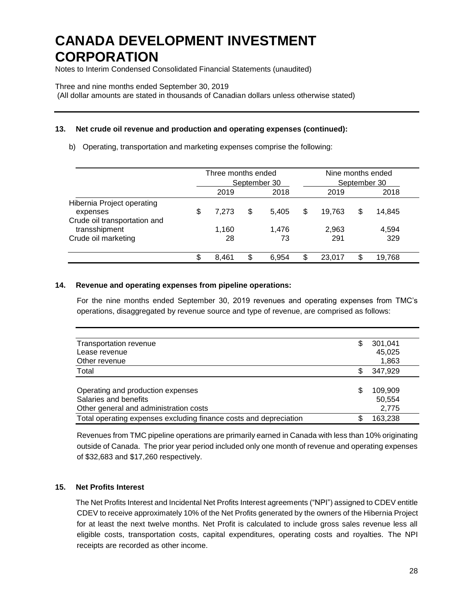Notes to Interim Condensed Consolidated Financial Statements (unaudited)

Three and nine months ended September 30, 2019

(All dollar amounts are stated in thousands of Canadian dollars unless otherwise stated)

## **13. Net crude oil revenue and production and operating expenses (continued):**

b) Operating, transportation and marketing expenses comprise the following:

|                                                                                         | Three months ended<br>September 30 |    |                |    | Nine months ended<br>September 30 |    |                 |  |
|-----------------------------------------------------------------------------------------|------------------------------------|----|----------------|----|-----------------------------------|----|-----------------|--|
|                                                                                         | 2019                               |    | 2018           |    | 2019                              |    | 2018            |  |
| Hibernia Project operating<br>expenses<br>Crude oil transportation and<br>transshipment | \$<br>7.273<br>1,160               | \$ | 5,405<br>1.476 | \$ | 19,763<br>2,963                   | \$ | 14,845<br>4,594 |  |
| Crude oil marketing                                                                     | 28                                 |    | 73             |    | 291                               |    | 329             |  |
|                                                                                         | \$<br>8,461                        | \$ | 6.954          | \$ | 23.017                            | \$ | 19,768          |  |

### **14. Revenue and operating expenses from pipeline operations:**

For the nine months ended September 30, 2019 revenues and operating expenses from TMC's operations, disaggregated by revenue source and type of revenue, are comprised as follows:

| <b>Transportation revenue</b>                                     | S  | 301,041 |
|-------------------------------------------------------------------|----|---------|
| Lease revenue                                                     |    | 45,025  |
| Other revenue                                                     |    | 1,863   |
| Total                                                             | S  | 347,929 |
|                                                                   |    |         |
| Operating and production expenses                                 | S  | 109,909 |
| Salaries and benefits                                             |    | 50,554  |
| Other general and administration costs                            |    | 2,775   |
| Total operating expenses excluding finance costs and depreciation | S. | 163,238 |

Revenues from TMC pipeline operations are primarily earned in Canada with less than 10% originating outside of Canada. The prior year period included only one month of revenue and operating expenses of \$32,683 and \$17,260 respectively.

### **15. Net Profits Interest**

The Net Profits Interest and Incidental Net Profits Interest agreements ("NPI") assigned to CDEV entitle CDEV to receive approximately 10% of the Net Profits generated by the owners of the Hibernia Project for at least the next twelve months. Net Profit is calculated to include gross sales revenue less all eligible costs, transportation costs, capital expenditures, operating costs and royalties. The NPI receipts are recorded as other income.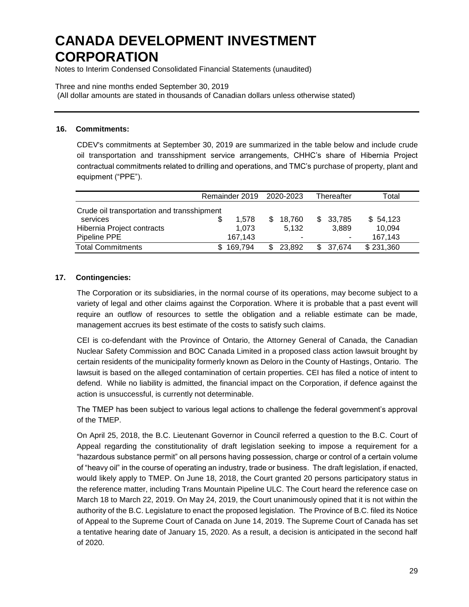Notes to Interim Condensed Consolidated Financial Statements (unaudited)

Three and nine months ended September 30, 2019

(All dollar amounts are stated in thousands of Canadian dollars unless otherwise stated)

### **16. Commitments:**

CDEV's commitments at September 30, 2019 are summarized in the table below and include crude oil transportation and transshipment service arrangements, CHHC's share of Hibernia Project contractual commitments related to drilling and operations, and TMC's purchase of property, plant and equipment ("PPE").

|                                            |  | Remainder 2019 2020-2023 |  |                          |     | Thereafter | Total     |  |  |  |
|--------------------------------------------|--|--------------------------|--|--------------------------|-----|------------|-----------|--|--|--|
| Crude oil transportation and transshipment |  |                          |  |                          |     |            |           |  |  |  |
| services                                   |  | 1.578                    |  | 18,760                   | \$. | 33,785     | \$54,123  |  |  |  |
| Hibernia Project contracts                 |  | 1.073                    |  | 5.132                    |     | 3.889      | 10,094    |  |  |  |
| Pipeline PPE                               |  | 167.143                  |  | $\overline{\phantom{0}}$ |     |            | 167.143   |  |  |  |
| <b>Total Commitments</b>                   |  | 169.794                  |  | 23,892                   |     | \$ 37.674  | \$231,360 |  |  |  |

### **17. Contingencies:**

The Corporation or its subsidiaries, in the normal course of its operations, may become subject to a variety of legal and other claims against the Corporation. Where it is probable that a past event will require an outflow of resources to settle the obligation and a reliable estimate can be made, management accrues its best estimate of the costs to satisfy such claims.

CEI is co-defendant with the Province of Ontario, the Attorney General of Canada, the Canadian Nuclear Safety Commission and BOC Canada Limited in a proposed class action lawsuit brought by certain residents of the municipality formerly known as Deloro in the County of Hastings, Ontario. The lawsuit is based on the alleged contamination of certain properties. CEI has filed a notice of intent to defend. While no liability is admitted, the financial impact on the Corporation, if defence against the action is unsuccessful, is currently not determinable.

The TMEP has been subject to various legal actions to challenge the federal government's approval of the TMEP.

On April 25, 2018, the B.C. Lieutenant Governor in Council referred a question to the B.C. Court of Appeal regarding the constitutionality of draft legislation seeking to impose a requirement for a "hazardous substance permit" on all persons having possession, charge or control of a certain volume of "heavy oil" in the course of operating an industry, trade or business. The draft legislation, if enacted, would likely apply to TMEP. On June 18, 2018, the Court granted 20 persons participatory status in the reference matter, including Trans Mountain Pipeline ULC. The Court heard the reference case on March 18 to March 22, 2019. On May 24, 2019, the Court unanimously opined that it is not within the authority of the B.C. Legislature to enact the proposed legislation. The Province of B.C. filed its Notice of Appeal to the Supreme Court of Canada on June 14, 2019. The Supreme Court of Canada has set a tentative hearing date of January 15, 2020. As a result, a decision is anticipated in the second half of 2020.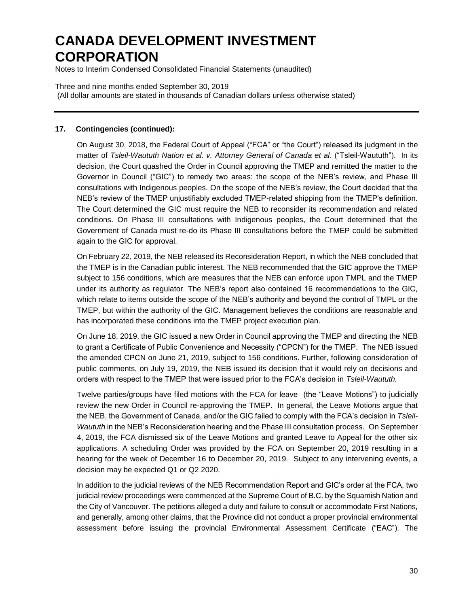Notes to Interim Condensed Consolidated Financial Statements (unaudited)

Three and nine months ended September 30, 2019 (All dollar amounts are stated in thousands of Canadian dollars unless otherwise stated)

### **17. Contingencies (continued):**

On August 30, 2018, the Federal Court of Appeal ("FCA" or "the Court") released its judgment in the matter of *Tsleil-Waututh Nation et al. v. Attorney General of Canada et al.* ("Tsleil-Waututh"). In its decision, the Court quashed the Order in Council approving the TMEP and remitted the matter to the Governor in Council ("GIC") to remedy two areas: the scope of the NEB's review, and Phase III consultations with Indigenous peoples. On the scope of the NEB's review, the Court decided that the NEB's review of the TMEP unjustifiably excluded TMEP-related shipping from the TMEP's definition. The Court determined the GIC must require the NEB to reconsider its recommendation and related conditions. On Phase III consultations with Indigenous peoples, the Court determined that the Government of Canada must re-do its Phase III consultations before the TMEP could be submitted again to the GIC for approval.

On February 22, 2019, the NEB released its Reconsideration Report, in which the NEB concluded that the TMEP is in the Canadian public interest. The NEB recommended that the GIC approve the TMEP subject to 156 conditions, which are measures that the NEB can enforce upon TMPL and the TMEP under its authority as regulator. The NEB's report also contained 16 recommendations to the GIC, which relate to items outside the scope of the NEB's authority and beyond the control of TMPL or the TMEP, but within the authority of the GIC. Management believes the conditions are reasonable and has incorporated these conditions into the TMEP project execution plan.

On June 18, 2019, the GIC issued a new Order in Council approving the TMEP and directing the NEB to grant a Certificate of Public Convenience and Necessity ("CPCN") for the TMEP. The NEB issued the amended CPCN on June 21, 2019, subject to 156 conditions. Further, following consideration of public comments, on July 19, 2019, the NEB issued its decision that it would rely on decisions and orders with respect to the TMEP that were issued prior to the FCA's decision in *Tsleil-Waututh.*

Twelve parties/groups have filed motions with the FCA for leave (the "Leave Motions") to judicially review the new Order in Council re-approving the TMEP. In general, the Leave Motions argue that the NEB, the Government of Canada, and/or the GIC failed to comply with the FCA's decision in *Tsleil-Waututh* in the NEB's Reconsideration hearing and the Phase III consultation process. On September 4, 2019, the FCA dismissed six of the Leave Motions and granted Leave to Appeal for the other six applications. A scheduling Order was provided by the FCA on September 20, 2019 resulting in a hearing for the week of December 16 to December 20, 2019. Subject to any intervening events, a decision may be expected Q1 or Q2 2020.

In addition to the judicial reviews of the NEB Recommendation Report and GIC's order at the FCA, two judicial review proceedings were commenced at the Supreme Court of B.C. by the Squamish Nation and the City of Vancouver. The petitions alleged a duty and failure to consult or accommodate First Nations, and generally, among other claims, that the Province did not conduct a proper provincial environmental assessment before issuing the provincial Environmental Assessment Certificate ("EAC"). The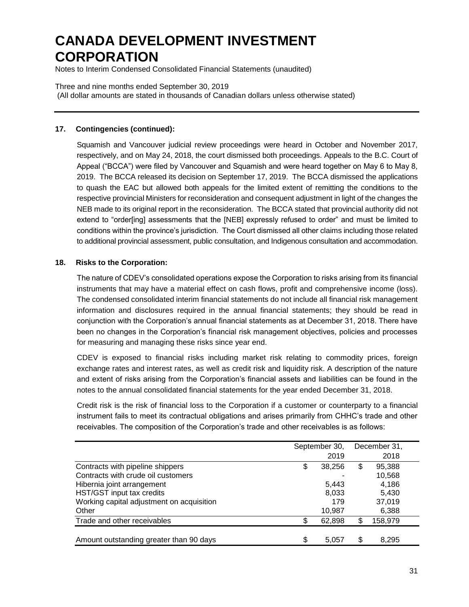Notes to Interim Condensed Consolidated Financial Statements (unaudited)

Three and nine months ended September 30, 2019 (All dollar amounts are stated in thousands of Canadian dollars unless otherwise stated)

### **17. Contingencies (continued):**

Squamish and Vancouver judicial review proceedings were heard in October and November 2017, respectively, and on May 24, 2018, the court dismissed both proceedings. Appeals to the B.C. Court of Appeal ("BCCA") were filed by Vancouver and Squamish and were heard together on May 6 to May 8, 2019. The BCCA released its decision on September 17, 2019. The BCCA dismissed the applications to quash the EAC but allowed both appeals for the limited extent of remitting the conditions to the respective provincial Ministers for reconsideration and consequent adjustment in light of the changes the NEB made to its original report in the reconsideration. The BCCA stated that provincial authority did not extend to "order[ing] assessments that the [NEB] expressly refused to order" and must be limited to conditions within the province's jurisdiction. The Court dismissed all other claims including those related to additional provincial assessment, public consultation, and Indigenous consultation and accommodation.

### **18. Risks to the Corporation:**

The nature of CDEV's consolidated operations expose the Corporation to risks arising from its financial instruments that may have a material effect on cash flows, profit and comprehensive income (loss). The condensed consolidated interim financial statements do not include all financial risk management information and disclosures required in the annual financial statements; they should be read in conjunction with the Corporation's annual financial statements as at December 31, 2018. There have been no changes in the Corporation's financial risk management objectives, policies and processes for measuring and managing these risks since year end.

CDEV is exposed to financial risks including market risk relating to commodity prices, foreign exchange rates and interest rates, as well as credit risk and liquidity risk. A description of the nature and extent of risks arising from the Corporation's financial assets and liabilities can be found in the notes to the annual consolidated financial statements for the year ended December 31, 2018.

Credit risk is the risk of financial loss to the Corporation if a customer or counterparty to a financial instrument fails to meet its contractual obligations and arises primarily from CHHC's trade and other receivables. The composition of the Corporation's trade and other receivables is as follows:

|                                           | September 30, |        |    | December 31, |
|-------------------------------------------|---------------|--------|----|--------------|
|                                           |               | 2019   |    | 2018         |
| Contracts with pipeline shippers          | \$            | 38,256 | \$ | 95,388       |
| Contracts with crude oil customers        |               |        |    | 10,568       |
| Hibernia joint arrangement                |               | 5,443  |    | 4,186        |
| HST/GST input tax credits                 |               | 8,033  |    | 5,430        |
| Working capital adjustment on acquisition |               | 179    |    | 37,019       |
| Other                                     |               | 10,987 |    | 6,388        |
| Trade and other receivables               |               | 62,898 | \$ | 158,979      |
|                                           |               |        |    |              |
| Amount outstanding greater than 90 days   | \$            | 5,057  | \$ | 8,295        |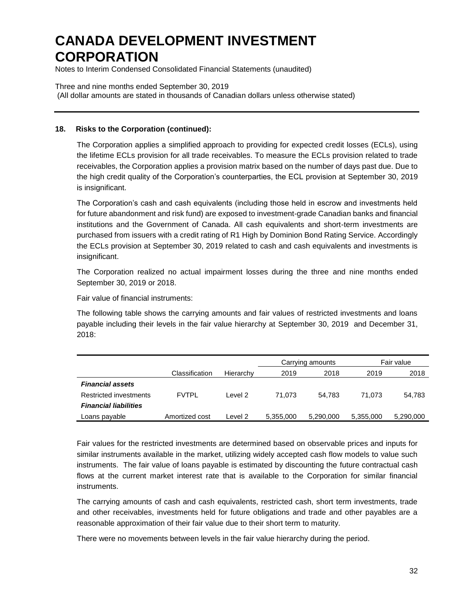Notes to Interim Condensed Consolidated Financial Statements (unaudited)

Three and nine months ended September 30, 2019 (All dollar amounts are stated in thousands of Canadian dollars unless otherwise stated)

### **18. Risks to the Corporation (continued):**

The Corporation applies a simplified approach to providing for expected credit losses (ECLs), using the lifetime ECLs provision for all trade receivables. To measure the ECLs provision related to trade receivables, the Corporation applies a provision matrix based on the number of days past due. Due to the high credit quality of the Corporation's counterparties, the ECL provision at September 30, 2019 is insignificant.

The Corporation's cash and cash equivalents (including those held in escrow and investments held for future abandonment and risk fund) are exposed to investment-grade Canadian banks and financial institutions and the Government of Canada. All cash equivalents and short-term investments are purchased from issuers with a credit rating of R1 High by Dominion Bond Rating Service. Accordingly the ECLs provision at September 30, 2019 related to cash and cash equivalents and investments is insignificant.

The Corporation realized no actual impairment losses during the three and nine months ended September 30, 2019 or 2018.

Fair value of financial instruments:

The following table shows the carrying amounts and fair values of restricted investments and loans payable including their levels in the fair value hierarchy at September 30, 2019 and December 31, 2018:

|                              |                |           |           | Carrying amounts | Fair value |           |  |  |  |
|------------------------------|----------------|-----------|-----------|------------------|------------|-----------|--|--|--|
|                              | Classification | Hierarchy | 2019      | 2018             | 2019       | 2018      |  |  |  |
| <b>Financial assets</b>      |                |           |           |                  |            |           |  |  |  |
| Restricted investments       | <b>FVTPL</b>   | Level 2   | 71.073    | 54.783           | 71.073     | 54,783    |  |  |  |
| <b>Financial liabilities</b> |                |           |           |                  |            |           |  |  |  |
| Loans payable                | Amortized cost | Level 2   | 5,355,000 | 5,290,000        | 5,355,000  | 5,290,000 |  |  |  |

Fair values for the restricted investments are determined based on observable prices and inputs for similar instruments available in the market, utilizing widely accepted cash flow models to value such instruments. The fair value of loans payable is estimated by discounting the future contractual cash flows at the current market interest rate that is available to the Corporation for similar financial instruments.

The carrying amounts of cash and cash equivalents, restricted cash, short term investments, trade and other receivables, investments held for future obligations and trade and other payables are a reasonable approximation of their fair value due to their short term to maturity.

There were no movements between levels in the fair value hierarchy during the period.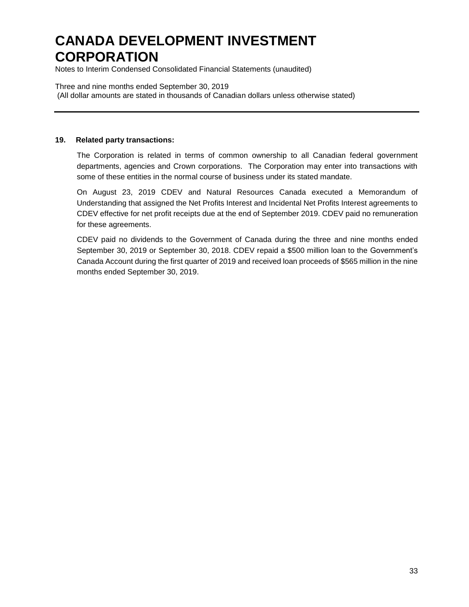Notes to Interim Condensed Consolidated Financial Statements (unaudited)

Three and nine months ended September 30, 2019 (All dollar amounts are stated in thousands of Canadian dollars unless otherwise stated)

#### **19. Related party transactions:**

The Corporation is related in terms of common ownership to all Canadian federal government departments, agencies and Crown corporations. The Corporation may enter into transactions with some of these entities in the normal course of business under its stated mandate.

On August 23, 2019 CDEV and Natural Resources Canada executed a Memorandum of Understanding that assigned the Net Profits Interest and Incidental Net Profits Interest agreements to CDEV effective for net profit receipts due at the end of September 2019. CDEV paid no remuneration for these agreements.

CDEV paid no dividends to the Government of Canada during the three and nine months ended September 30, 2019 or September 30, 2018. CDEV repaid a \$500 million loan to the Government's Canada Account during the first quarter of 2019 and received loan proceeds of \$565 million in the nine months ended September 30, 2019.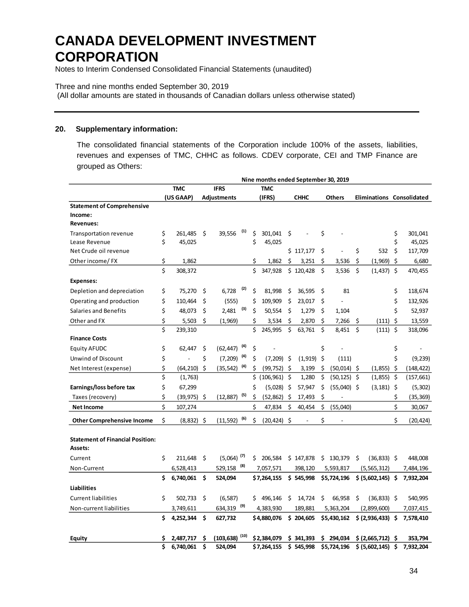Notes to Interim Condensed Consolidated Financial Statements (unaudited)

#### Three and nine months ended September 30, 2019

(All dollar amounts are stated in thousands of Canadian dollars unless otherwise stated)

#### **20. Supplementary information:**

The consolidated financial statements of the Corporation include 100% of the assets, liabilities, revenues and expenses of TMC, CHHC as follows. CDEV corporate, CEI and TMP Finance are grouped as Others:

|                                         | Nine months ended September 30, 2019 |                |    |                            |                   |     |                 |    |             |     |                |                     |         |                           |
|-----------------------------------------|--------------------------------------|----------------|----|----------------------------|-------------------|-----|-----------------|----|-------------|-----|----------------|---------------------|---------|---------------------------|
|                                         |                                      | <b>TMC</b>     |    | <b>IFRS</b>                |                   |     | <b>TMC</b>      |    |             |     |                |                     |         |                           |
|                                         |                                      | (US GAAP)      |    | <b>Adjustments</b>         |                   |     | (IFRS)          |    | <b>CHHC</b> |     | <b>Others</b>  |                     |         | Eliminations Consolidated |
| <b>Statement of Comprehensive</b>       |                                      |                |    |                            |                   |     |                 |    |             |     |                |                     |         |                           |
| Income:                                 |                                      |                |    |                            |                   |     |                 |    |             |     |                |                     |         |                           |
| <b>Revenues:</b>                        |                                      |                |    |                            |                   |     |                 |    |             |     |                |                     |         |                           |
| <b>Transportation revenue</b>           | \$                                   | 261.485        | Ś  | 39.556                     | $\left( 1\right)$ | Ś   | 301.041         | Ś  |             | \$  |                |                     | \$      | 301,041                   |
| Lease Revenue                           | \$                                   | 45,025         |    |                            |                   | \$  | 45,025          |    |             |     |                |                     | Ś       | 45,025                    |
| Net Crude oil revenue                   |                                      |                |    |                            |                   |     |                 |    | \$117,177   | \$  |                | \$<br>532           | \$      | 117,709                   |
| Other income/FX                         | \$                                   | 1,862          |    |                            |                   | \$  | 1,862           | Ś  | 3,251       | \$. | 3,536          | \$<br>(1,969)       | \$      | 6,680                     |
|                                         | \$                                   | 308,372        |    |                            |                   | \$  | 347,928         |    | \$120,428   | \$  | 3,536          | \$<br>$(1,437)$ \$  |         | 470,455                   |
| <b>Expenses:</b>                        |                                      |                |    |                            |                   |     |                 |    |             |     |                |                     |         |                           |
| Depletion and depreciation              | \$                                   | 75,270         | \$ | 6,728                      | (2)               | \$  | 81,998          | \$ | 36,595      | \$  | 81             |                     | \$      | 118,674                   |
| Operating and production                | \$                                   | 110,464        | \$ | (555)                      |                   | \$  | 109,909         | \$ | 23,017      | \$  |                |                     | \$      | 132,926                   |
| <b>Salaries and Benefits</b>            | Ś                                    | 48,073         | \$ | 2.481                      | (3)               | Ś   | 50,554          | Ś  | 1,279       | \$  | 1,104          |                     | Ś       | 52,937                    |
| Other and FX                            | \$                                   | 5,503          | Ś  | (1,969)                    |                   | \$  | 3,534           | \$ | 2,870       | \$  | 7,266          | \$<br>(111)         | \$      | 13,559                    |
|                                         | \$                                   | 239,310        |    |                            |                   | \$  | 245,995         | \$ | 63,761      | \$  | 8,451          | \$<br>(111)         | \$      | 318,096                   |
| <b>Finance Costs</b>                    |                                      |                |    |                            |                   |     |                 |    |             |     |                |                     |         |                           |
| <b>Equity AFUDC</b>                     | \$                                   | 62,447         | \$ | $(62, 447)$ <sup>(4)</sup> |                   | \$  |                 |    |             | \$  |                |                     | \$      |                           |
| Unwind of Discount                      | \$                                   |                | \$ | $(7,209)$ <sup>(4)</sup>   |                   | Ś   | $(7,209)$ \$    |    | (1, 919)    | \$  | (111)          |                     | \$      | (9, 239)                  |
| Net Interest (expense)                  | \$                                   | $(64, 210)$ \$ |    | (35, 542)                  | (4)               | \$  | (99, 752)       | \$ | 3,199       | \$  | $(50,014)$ \$  | (1,855)             | \$      | (148, 422)                |
|                                         | \$                                   | (1,763)        |    |                            |                   | \$  | $(106, 961)$ \$ |    | 1,280       | \$  | $(50, 125)$ \$ | (1,855)             | $\zeta$ | (157, 661)                |
| Earnings/loss before tax                | \$                                   | 67,299         |    |                            |                   | \$  | (5,028)         | Š. | 57,947      | \$  | $(55,040)$ \$  | $(3, 181)$ \$       |         | (5,302)                   |
| Taxes (recovery)                        | \$                                   | $(39, 975)$ \$ |    | (12, 887)                  | (5)               | \$  | (52, 862)       | \$ | 17,493      | \$  |                |                     | \$      | (35, 369)                 |
| <b>Net Income</b>                       | \$                                   | 107,274        |    |                            |                   | \$  | 47,834          | \$ | 40,454      | \$  | (55,040)       |                     | \$      | 30,067                    |
| <b>Other Comprehensive Income</b>       | \$                                   | (8, 832)       | Ŝ. | (11.592)                   | (6)               | Ś   | (20, 424)       | -Ś |             | Ś   |                |                     | Ś       | (20.424)                  |
| <b>Statement of Financial Position:</b> |                                      |                |    |                            |                   |     |                 |    |             |     |                |                     |         |                           |
| Assets:                                 |                                      |                |    |                            |                   |     |                 |    |             |     |                |                     |         |                           |
| Current                                 | \$                                   | 211,648        | \$ | $(5,064)$ <sup>(7)</sup>   |                   | \$. | 206,584         |    | \$147,878   |     | \$130,379      | \$<br>$(36,833)$ \$ |         | 448,008                   |
| Non-Current                             |                                      | 6,528,413      |    | 529,158 (8)                |                   |     | 7,057,571       |    | 398,120     |     | 5,593,817      | (5,565,312)         |         | 7,484,196                 |
|                                         | Ś                                    | 6,740,061      | \$ | 524,094                    |                   |     | \$7,264,155     |    | \$545,998   |     | \$5,724,196    | \$ (5,602,145) \$   |         | 7,932,204                 |
| <b>Liabilities</b>                      |                                      |                |    |                            |                   |     |                 |    |             |     |                |                     |         |                           |
| <b>Current liabilities</b>              | \$                                   | 502,733        | \$ | (6, 587)                   |                   |     | 496,146         | \$ | 14,724      | \$  | 66,958         | \$<br>$(36,833)$ \$ |         | 540,995                   |
| Non-current liabilities                 |                                      | 3,749,611      |    | 634,319 (9)                |                   |     | 4,383,930       |    | 189,881     |     | 5,363,204      | (2,899,600)         |         | 7,037,415                 |
|                                         | \$                                   | 4,252,344      | \$ | 627,732                    |                   |     | \$4,880,076     |    | \$204,605   |     | \$5,430,162    | \$ (2,936,433) \$   |         | 7,578,410                 |
| <b>Equity</b>                           | \$                                   | 2.487.717      | \$ | (103, 638)                 | (10)              |     | \$2,384,079     |    | \$341,393   | \$  | 294,034        | \$ (2,665,712) \$   |         | 353,794                   |
|                                         | \$                                   | 6,740,061      | \$ | 524,094                    |                   |     | \$7,264,155     |    | \$545,998   |     | \$5,724,196    | \$ (5,602,145) \$   |         | 7,932,204                 |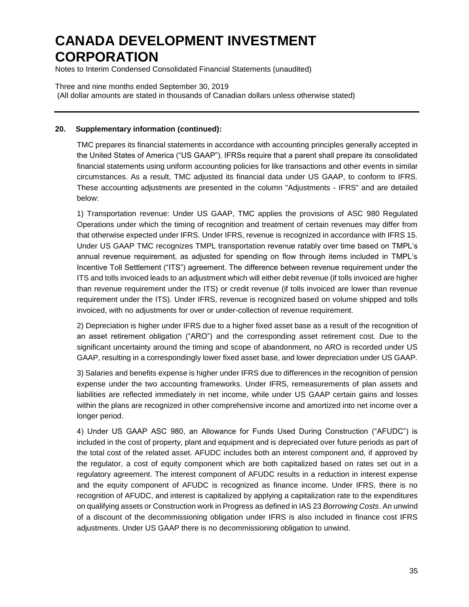Notes to Interim Condensed Consolidated Financial Statements (unaudited)

Three and nine months ended September 30, 2019 (All dollar amounts are stated in thousands of Canadian dollars unless otherwise stated)

### **20. Supplementary information (continued):**

TMC prepares its financial statements in accordance with accounting principles generally accepted in the United States of America ("US GAAP"). IFRSs require that a parent shall prepare its consolidated financial statements using uniform accounting policies for like transactions and other events in similar circumstances. As a result, TMC adjusted its financial data under US GAAP, to conform to IFRS. These accounting adjustments are presented in the column "Adjustments - IFRS" and are detailed below:

1) Transportation revenue: Under US GAAP, TMC applies the provisions of ASC 980 Regulated Operations under which the timing of recognition and treatment of certain revenues may differ from that otherwise expected under IFRS. Under IFRS, revenue is recognized in accordance with IFRS 15. Under US GAAP TMC recognizes TMPL transportation revenue ratably over time based on TMPL's annual revenue requirement, as adjusted for spending on flow through items included in TMPL's Incentive Toll Settlement ("ITS") agreement. The difference between revenue requirement under the ITS and tolls invoiced leads to an adjustment which will either debit revenue (if tolls invoiced are higher than revenue requirement under the ITS) or credit revenue (if tolls invoiced are lower than revenue requirement under the ITS). Under IFRS, revenue is recognized based on volume shipped and tolls invoiced, with no adjustments for over or under-collection of revenue requirement.

2) Depreciation is higher under IFRS due to a higher fixed asset base as a result of the recognition of an asset retirement obligation ("ARO") and the corresponding asset retirement cost. Due to the significant uncertainty around the timing and scope of abandonment, no ARO is recorded under US GAAP, resulting in a correspondingly lower fixed asset base, and lower depreciation under US GAAP.

3) Salaries and benefits expense is higher under IFRS due to differences in the recognition of pension expense under the two accounting frameworks. Under IFRS, remeasurements of plan assets and liabilities are reflected immediately in net income, while under US GAAP certain gains and losses within the plans are recognized in other comprehensive income and amortized into net income over a longer period.

4) Under US GAAP ASC 980, an Allowance for Funds Used During Construction ("AFUDC") is included in the cost of property, plant and equipment and is depreciated over future periods as part of the total cost of the related asset. AFUDC includes both an interest component and, if approved by the regulator, a cost of equity component which are both capitalized based on rates set out in a regulatory agreement. The interest component of AFUDC results in a reduction in interest expense and the equity component of AFUDC is recognized as finance income. Under IFRS, there is no recognition of AFUDC, and interest is capitalized by applying a capitalization rate to the expenditures on qualifying assets or Construction work in Progress as defined in IAS 23 *Borrowing Costs*. An unwind of a discount of the decommissioning obligation under IFRS is also included in finance cost IFRS adjustments. Under US GAAP there is no decommissioning obligation to unwind.